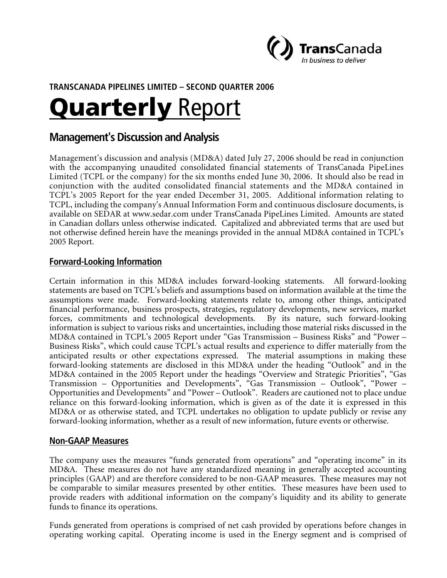

# **TRANSCANADA PIPELINES LIMITED – SECOND QUARTER 2006**

# **Quarterly Report**

# **Management's Discussion and Analysis**

Management's discussion and analysis (MD&A) dated July 27, 2006 should be read in conjunction with the accompanying unaudited consolidated financial statements of TransCanada PipeLines Limited (TCPL or the company) for the six months ended June 30, 2006. It should also be read in conjunction with the audited consolidated financial statements and the MD&A contained in TCPL's 2005 Report for the year ended December 31, 2005. Additional information relating to TCPL, including the company's Annual Information Form and continuous disclosure documents, is available on SEDAR at www.sedar.com under TransCanada PipeLines Limited. Amounts are stated in Canadian dollars unless otherwise indicated. Capitalized and abbreviated terms that are used but not otherwise defined herein have the meanings provided in the annual MD&A contained in TCPL's 2005 Report.

## **Forward-Looking Information**

Certain information in this MD&A includes forward-looking statements. All forward-looking statements are based on TCPL's beliefs and assumptions based on information available at the time the assumptions were made. Forward-looking statements relate to, among other things, anticipated financial performance, business prospects, strategies, regulatory developments, new services, market forces, commitments and technological developments. By its nature, such forward-looking information is subject to various risks and uncertainties, including those material risks discussed in the MD&A contained in TCPL's 2005 Report under "Gas Transmission – Business Risks" and "Power – Business Risks", which could cause TCPL's actual results and experience to differ materially from the anticipated results or other expectations expressed. The material assumptions in making these forward-looking statements are disclosed in this MD&A under the heading "Outlook" and in the MD&A contained in the 2005 Report under the headings "Overview and Strategic Priorities", "Gas Transmission – Opportunities and Developments", "Gas Transmission – Outlook", "Power – Opportunities and Developments" and "Power – Outlook". Readers are cautioned not to place undue reliance on this forward-looking information, which is given as of the date it is expressed in this MD&A or as otherwise stated, and TCPL undertakes no obligation to update publicly or revise any forward-looking information, whether as a result of new information, future events or otherwise.

## **Non-GAAP Measures**

The company uses the measures "funds generated from operations" and "operating income" in its MD&A. These measures do not have any standardized meaning in generally accepted accounting principles (GAAP) and are therefore considered to be non-GAAP measures. These measures may not be comparable to similar measures presented by other entities. These measures have been used to provide readers with additional information on the company's liquidity and its ability to generate funds to finance its operations.

Funds generated from operations is comprised of net cash provided by operations before changes in operating working capital. Operating income is used in the Energy segment and is comprised of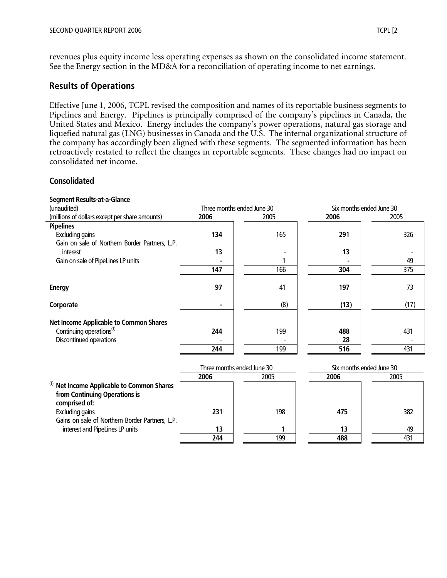revenues plus equity income less operating expenses as shown on the consolidated income statement. See the Energy section in the MD&A for a reconciliation of operating income to net earnings.

## **Results of Operations**

Gains on sale of Northern Border Partners, L.P.

interest and PipeLines LP units **13** 1

Effective June 1, 2006, TCPL revised the composition and names of its reportable business segments to Pipelines and Energy. Pipelines is principally comprised of the company's pipelines in Canada, the United States and Mexico. Energy includes the company's power operations, natural gas storage and liquefied natural gas (LNG) businesses in Canada and the U.S. The internal organizational structure of the company has accordingly been aligned with these segments. The segmented information has been retroactively restated to reflect the changes in reportable segments. These changes had no impact on consolidated net income.

#### **Consolidated**

| <b>Segment Results-at-a-Glance</b>                                                              |                            |      |                          |      |  |
|-------------------------------------------------------------------------------------------------|----------------------------|------|--------------------------|------|--|
| (unaudited)                                                                                     | Three months ended June 30 |      | Six months ended June 30 |      |  |
| (millions of dollars except per share amounts)                                                  | 2006                       | 2005 | 2006                     | 2005 |  |
| <b>Pipelines</b>                                                                                |                            |      |                          |      |  |
| <b>Excluding gains</b>                                                                          | 134                        | 165  | 291                      | 326  |  |
| Gain on sale of Northern Border Partners, L.P.                                                  |                            |      |                          |      |  |
| interest                                                                                        | 13                         |      | 13                       |      |  |
| Gain on sale of PipeLines LP units                                                              |                            |      |                          | 49   |  |
|                                                                                                 | 147                        | 166  | 304                      | 375  |  |
|                                                                                                 |                            |      |                          |      |  |
| <b>Energy</b>                                                                                   | 97                         | 41   | 197                      | 73   |  |
| Corporate                                                                                       |                            | (8)  | (13)                     | (17) |  |
| <b>Net Income Applicable to Common Shares</b>                                                   |                            |      |                          |      |  |
| Continuing operations <sup>(1)</sup>                                                            | 244                        | 199  | 488                      | 431  |  |
| Discontinued operations                                                                         |                            |      | 28                       |      |  |
|                                                                                                 | 244                        | 199  | 516                      | 431  |  |
|                                                                                                 | Three months ended June 30 |      | Six months ended June 30 |      |  |
|                                                                                                 | 2006                       | 2005 | 2006                     | 2005 |  |
| (1)<br>Net Income Applicable to Common Shares<br>from Continuing Operations is<br>comprised of: |                            |      |                          |      |  |

Excluding gains **231** 198 **475** 382

**13** 49

**244** 199 **488** 431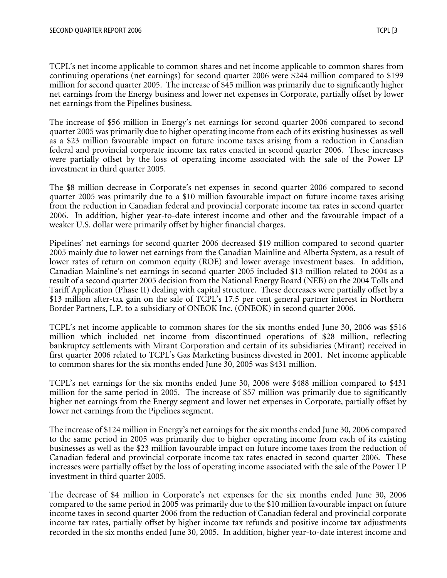TCPL's net income applicable to common shares and net income applicable to common shares from continuing operations (net earnings) for second quarter 2006 were \$244 million compared to \$199 million for second quarter 2005. The increase of \$45 million was primarily due to significantly higher net earnings from the Energy business and lower net expenses in Corporate, partially offset by lower net earnings from the Pipelines business.

The increase of \$56 million in Energy's net earnings for second quarter 2006 compared to second quarter 2005 was primarily due to higher operating income from each of its existing businesses as well as a \$23 million favourable impact on future income taxes arising from a reduction in Canadian federal and provincial corporate income tax rates enacted in second quarter 2006. These increases were partially offset by the loss of operating income associated with the sale of the Power LP investment in third quarter 2005.

The \$8 million decrease in Corporate's net expenses in second quarter 2006 compared to second quarter 2005 was primarily due to a \$10 million favourable impact on future income taxes arising from the reduction in Canadian federal and provincial corporate income tax rates in second quarter 2006. In addition, higher year-to-date interest income and other and the favourable impact of a weaker U.S. dollar were primarily offset by higher financial charges.

Pipelines' net earnings for second quarter 2006 decreased \$19 million compared to second quarter 2005 mainly due to lower net earnings from the Canadian Mainline and Alberta System, as a result of lower rates of return on common equity (ROE) and lower average investment bases. In addition, Canadian Mainline's net earnings in second quarter 2005 included \$13 million related to 2004 as a result of a second quarter 2005 decision from the National Energy Board (NEB) on the 2004 Tolls and Tariff Application (Phase II) dealing with capital structure. These decreases were partially offset by a \$13 million after-tax gain on the sale of TCPL's 17.5 per cent general partner interest in Northern Border Partners, L.P. to a subsidiary of ONEOK Inc. (ONEOK) in second quarter 2006.

TCPL's net income applicable to common shares for the six months ended June 30, 2006 was \$516 million which included net income from discontinued operations of \$28 million, reflecting bankruptcy settlements with Mirant Corporation and certain of its subsidiaries (Mirant) received in first quarter 2006 related to TCPL's Gas Marketing business divested in 2001. Net income applicable to common shares for the six months ended June 30, 2005 was \$431 million.

TCPL's net earnings for the six months ended June 30, 2006 were \$488 million compared to \$431 million for the same period in 2005. The increase of \$57 million was primarily due to significantly higher net earnings from the Energy segment and lower net expenses in Corporate, partially offset by lower net earnings from the Pipelines segment.

The increase of \$124 million in Energy's net earnings for the six months ended June 30, 2006 compared to the same period in 2005 was primarily due to higher operating income from each of its existing businesses as well as the \$23 million favourable impact on future income taxes from the reduction of Canadian federal and provincial corporate income tax rates enacted in second quarter 2006. These increases were partially offset by the loss of operating income associated with the sale of the Power LP investment in third quarter 2005.

The decrease of \$4 million in Corporate's net expenses for the six months ended June 30, 2006 compared to the same period in 2005 was primarily due to the \$10 million favourable impact on future income taxes in second quarter 2006 from the reduction of Canadian federal and provincial corporate income tax rates, partially offset by higher income tax refunds and positive income tax adjustments recorded in the six months ended June 30, 2005. In addition, higher year-to-date interest income and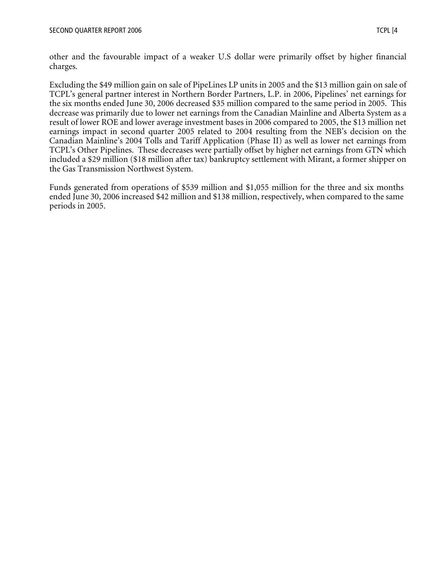other and the favourable impact of a weaker U.S dollar were primarily offset by higher financial charges.

Excluding the \$49 million gain on sale of PipeLines LP units in 2005 and the \$13 million gain on sale of TCPL's general partner interest in Northern Border Partners, L.P. in 2006, Pipelines' net earnings for the six months ended June 30, 2006 decreased \$35 million compared to the same period in 2005. This decrease was primarily due to lower net earnings from the Canadian Mainline and Alberta System as a result of lower ROE and lower average investment bases in 2006 compared to 2005, the \$13 million net earnings impact in second quarter 2005 related to 2004 resulting from the NEB's decision on the Canadian Mainline's 2004 Tolls and Tariff Application (Phase II) as well as lower net earnings from TCPL's Other Pipelines. These decreases were partially offset by higher net earnings from GTN which included a \$29 million (\$18 million after tax) bankruptcy settlement with Mirant, a former shipper on the Gas Transmission Northwest System.

Funds generated from operations of \$539 million and \$1,055 million for the three and six months ended June 30, 2006 increased \$42 million and \$138 million, respectively, when compared to the same periods in 2005.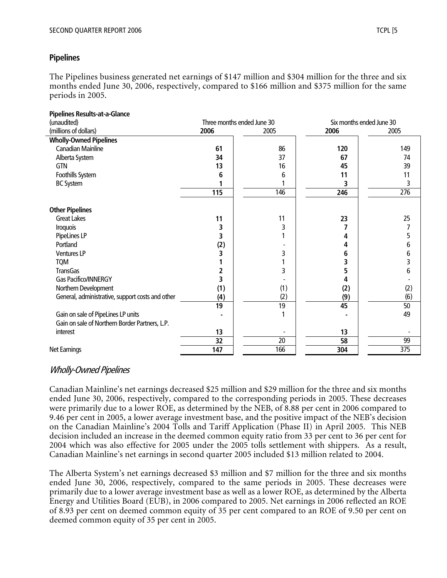## **Pipelines**

The Pipelines business generated net earnings of \$147 million and \$304 million for the three and six months ended June 30, 2006, respectively, compared to \$166 million and \$375 million for the same periods in 2005.

| <b>Pipelines Results-at-a-Glance</b>             |                            |      |                          |      |
|--------------------------------------------------|----------------------------|------|--------------------------|------|
| (unaudited)                                      | Three months ended June 30 |      | Six months ended June 30 |      |
| (millions of dollars)                            | 2006                       | 2005 | 2006                     | 2005 |
| <b>Wholly-Owned Pipelines</b>                    |                            |      |                          |      |
| <b>Canadian Mainline</b>                         | 61                         | 86   | 120                      | 149  |
| Alberta System                                   | 34                         | 37   | 67                       | 74   |
| <b>GTN</b>                                       | 13                         | 16   | 45                       | 39   |
| Foothills System                                 | 6                          | 6    | 11                       | 11   |
| <b>BC System</b>                                 |                            |      | 3                        | 3    |
|                                                  | 115                        | 146  | 246                      | 276  |
|                                                  |                            |      |                          |      |
| <b>Other Pipelines</b>                           |                            |      |                          |      |
| <b>Great Lakes</b>                               | 11                         | 11   | 23                       | 25   |
| Iroquois                                         | 3                          | 3    |                          |      |
| PipeLines LP                                     | 3                          |      | 4                        |      |
| Portland                                         | (2)                        |      | 4                        | h    |
| <b>Ventures LP</b>                               | 3                          | 3    | 6                        | 6    |
| <b>TQM</b>                                       |                            |      | 3                        |      |
| <b>TransGas</b>                                  |                            | 3    | 5                        | 6    |
| Gas Pacifico/INNERGY                             |                            |      | 4                        |      |
| Northern Development                             | (1)                        | (1)  | (2)                      | (2)  |
| General, administrative, support costs and other | (4)                        | (2)  | (9)                      | (6)  |
|                                                  | 19                         | 19   | 45                       | 50   |
| Gain on sale of PipeLines LP units               |                            |      |                          | 49   |
| Gain on sale of Northern Border Partners, L.P.   |                            |      |                          |      |
| interest                                         | 13                         |      | 13                       |      |
|                                                  | 32                         | 20   | 58                       | 99   |
| Net Earnings                                     | 147                        | 166  | 304                      | 375  |

# Wholly-Owned Pipelines

Canadian Mainline's net earnings decreased \$25 million and \$29 million for the three and six months ended June 30, 2006, respectively, compared to the corresponding periods in 2005. These decreases were primarily due to a lower ROE, as determined by the NEB, of 8.88 per cent in 2006 compared to 9.46 per cent in 2005, a lower average investment base, and the positive impact of the NEB's decision on the Canadian Mainline's 2004 Tolls and Tariff Application (Phase II) in April 2005. This NEB decision included an increase in the deemed common equity ratio from 33 per cent to 36 per cent for 2004 which was also effective for 2005 under the 2005 tolls settlement with shippers. As a result, Canadian Mainline's net earnings in second quarter 2005 included \$13 million related to 2004.

The Alberta System's net earnings decreased \$3 million and \$7 million for the three and six months ended June 30, 2006, respectively, compared to the same periods in 2005. These decreases were primarily due to a lower average investment base as well as a lower ROE, as determined by the Alberta Energy and Utilities Board (EUB), in 2006 compared to 2005. Net earnings in 2006 reflected an ROE of 8.93 per cent on deemed common equity of 35 per cent compared to an ROE of 9.50 per cent on deemed common equity of 35 per cent in 2005.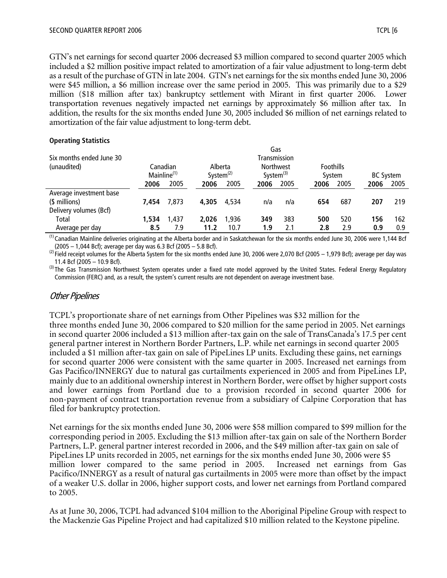GTN's net earnings for second quarter 2006 decreased \$3 million compared to second quarter 2005 which included a \$2 million positive impact related to amortization of a fair value adjustment to long-term debt as a result of the purchase of GTN in late 2004. GTN's net earnings for the six months ended June 30, 2006 were \$45 million, a \$6 million increase over the same period in 2005. This was primarily due to a \$29 million (\$18 million after tax) bankruptcy settlement with Mirant in first quarter 2006. Lower transportation revenues negatively impacted net earnings by approximately \$6 million after tax. In addition, the results for the six months ended June 30, 2005 included \$6 million of net earnings related to amortization of the fair value adjustment to long-term debt.

#### **Operating Statistics**

| Six months ended June 30 |                         |          |                         |       | Gas<br>Transmission                 |      |                            |      |                  |      |
|--------------------------|-------------------------|----------|-------------------------|-------|-------------------------------------|------|----------------------------|------|------------------|------|
| (unaudited)              | Mainline <sup>(1)</sup> | Canadian | Alberta<br>System $(2)$ |       | <b>Northwest</b><br>System $^{(3)}$ |      | <b>Foothills</b><br>System |      | <b>BC System</b> |      |
|                          | 2006                    | 2005     | 2006                    | 2005  | 2006                                | 2005 | 2006                       | 2005 | 2006             | 2005 |
| Average investment base  |                         |          |                         |       |                                     |      |                            |      |                  |      |
| (\$ millions)            | 7.454                   | 7,873    | 4,305                   | 4.534 | n/a                                 | n/a  | 654                        | 687  | 207              | 219  |
| Delivery volumes (Bcf)   |                         |          |                         |       |                                     |      |                            |      |                  |      |
| Total                    | 1,534                   | 1.437    | 2.026                   | 1.936 | 349                                 | 383  | 500                        | 520  | 156              | 162  |
| Average per day          | 8.5                     | 7.9      | 11.2                    | 10.7  | 1.9                                 | 2.1  | 2.8                        | 2.9  | 0.9              | 0.9  |

 $<sup>(1)</sup>$  Canadian Mainline deliveries originating at the Alberta border and in Saskatchewan for the six months ended June 30, 2006 were 1,144 Bcf</sup> (2005 – 1,044 Bcf); average per day was 6.3 Bcf (2005 – 5.8 Bcf).

 $^{(2)}$  Field receipt volumes for the Alberta System for the six months ended June 30, 2006 were 2,070 Bcf (2005 – 1,979 Bcf); average per day was 11.4 Bcf (2005 – 10.9 Bcf).

<sup>(3)</sup>The Gas Transmission Northwest System operates under a fixed rate model approved by the United States. Federal Energy Regulatory Commission (FERC) and, as a result, the system's current results are not dependent on average investment base.

## Other Pipelines

TCPL's proportionate share of net earnings from Other Pipelines was \$32 million for the three months ended June 30, 2006 compared to \$20 million for the same period in 2005. Net earnings in second quarter 2006 included a \$13 million after-tax gain on the sale of TransCanada's 17.5 per cent general partner interest in Northern Border Partners, L.P. while net earnings in second quarter 2005 included a \$1 million after-tax gain on sale of PipeLines LP units. Excluding these gains, net earnings for second quarter 2006 were consistent with the same quarter in 2005. Increased net earnings from Gas Pacifico/INNERGY due to natural gas curtailments experienced in 2005 and from PipeLines LP, mainly due to an additional ownership interest in Northern Border, were offset by higher support costs and lower earnings from Portland due to a provision recorded in second quarter 2006 for non-payment of contract transportation revenue from a subsidiary of Calpine Corporation that has filed for bankruptcy protection.

Net earnings for the six months ended June 30, 2006 were \$58 million compared to \$99 million for the corresponding period in 2005. Excluding the \$13 million after-tax gain on sale of the Northern Border Partners, L.P. general partner interest recorded in 2006, and the \$49 million after-tax gain on sale of PipeLines LP units recorded in 2005, net earnings for the six months ended June 30, 2006 were \$5 million lower compared to the same period in 2005. Increased net earnings from Gas Pacifico/INNERGY as a result of natural gas curtailments in 2005 were more than offset by the impact of a weaker U.S. dollar in 2006, higher support costs, and lower net earnings from Portland compared to 2005.

As at June 30, 2006, TCPL had advanced \$104 million to the Aboriginal Pipeline Group with respect to the Mackenzie Gas Pipeline Project and had capitalized \$10 million related to the Keystone pipeline.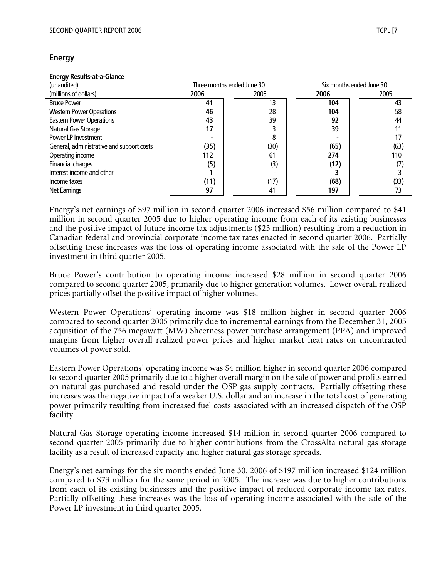## **Energy**

#### **Energy Results-at-a-Glance**

| (unaudited)                               | Three months ended June 30 |      | Six months ended June 30 |      |
|-------------------------------------------|----------------------------|------|--------------------------|------|
| (millions of dollars)                     | 2006                       | 2005 | 2006                     | 2005 |
| <b>Bruce Power</b>                        | 41                         | 13   | 104                      | 43   |
| <b>Western Power Operations</b>           | 46                         | 28   | 104                      | 58   |
| <b>Eastern Power Operations</b>           | 43                         | 39   | 92                       | 44   |
| Natural Gas Storage                       |                            |      | 39                       | 11   |
| Power LP Investment                       |                            | 8    |                          |      |
| General, administrative and support costs | (35)                       | (30) | (65)                     | (63) |
| Operating income                          | 112                        | 61   | 274                      | 110  |
| Financial charges                         | (5)                        | (3)  | (12)                     | (7)  |
| Interest income and other                 |                            |      |                          |      |
| Income taxes                              | (11)                       | (17) | (68)                     | (33) |
| Net Earnings                              | 97                         | 41   | 197                      | 73   |

Energy's net earnings of \$97 million in second quarter 2006 increased \$56 million compared to \$41 million in second quarter 2005 due to higher operating income from each of its existing businesses and the positive impact of future income tax adjustments (\$23 million) resulting from a reduction in Canadian federal and provincial corporate income tax rates enacted in second quarter 2006. Partially offsetting these increases was the loss of operating income associated with the sale of the Power LP investment in third quarter 2005.

Bruce Power's contribution to operating income increased \$28 million in second quarter 2006 compared to second quarter 2005, primarily due to higher generation volumes. Lower overall realized prices partially offset the positive impact of higher volumes.

Western Power Operations' operating income was \$18 million higher in second quarter 2006 compared to second quarter 2005 primarily due to incremental earnings from the December 31, 2005 acquisition of the 756 megawatt (MW) Sheerness power purchase arrangement (PPA) and improved margins from higher overall realized power prices and higher market heat rates on uncontracted volumes of power sold.

Eastern Power Operations' operating income was \$4 million higher in second quarter 2006 compared to second quarter 2005 primarily due to a higher overall margin on the sale of power and profits earned on natural gas purchased and resold under the OSP gas supply contracts. Partially offsetting these increases was the negative impact of a weaker U.S. dollar and an increase in the total cost of generating power primarily resulting from increased fuel costs associated with an increased dispatch of the OSP facility.

Natural Gas Storage operating income increased \$14 million in second quarter 2006 compared to second quarter 2005 primarily due to higher contributions from the CrossAlta natural gas storage facility as a result of increased capacity and higher natural gas storage spreads.

Energy's net earnings for the six months ended June 30, 2006 of \$197 million increased \$124 million compared to \$73 million for the same period in 2005. The increase was due to higher contributions from each of its existing businesses and the positive impact of reduced corporate income tax rates. Partially offsetting these increases was the loss of operating income associated with the sale of the Power LP investment in third quarter 2005.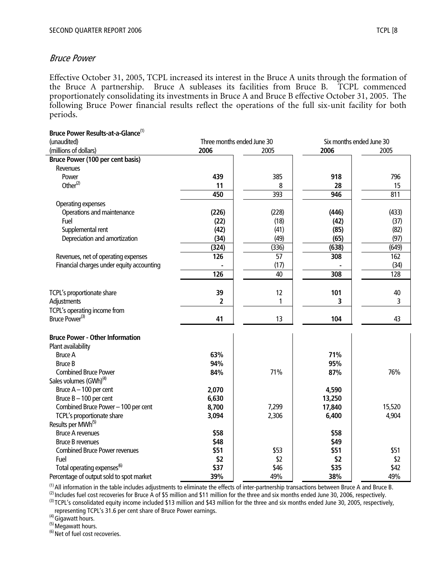#### Bruce Power

Effective October 31, 2005, TCPL increased its interest in the Bruce A units through the formation of the Bruce A partnership. Bruce A subleases its facilities from Bruce B. TCPL commenced proportionately consolidating its investments in Bruce A and Bruce B effective October 31, 2005. The following Bruce Power financial results reflect the operations of the full six-unit facility for both periods.

| Bruce Power Results-at-a-Glance <sup>(1)</sup> |                            |                 |                          |        |  |
|------------------------------------------------|----------------------------|-----------------|--------------------------|--------|--|
| (unaudited)                                    | Three months ended June 30 |                 | Six months ended June 30 |        |  |
| (millions of dollars)                          | 2006                       | 2005            | 2006                     | 2005   |  |
| <b>Bruce Power (100 per cent basis)</b>        |                            |                 |                          |        |  |
| Revenues                                       |                            |                 |                          |        |  |
| Power                                          | 439                        | 385             | 918                      | 796    |  |
| Other $(2)$                                    | 11                         | 8               | 28                       | 15     |  |
|                                                | 450                        | 393             | 946                      | 811    |  |
| Operating expenses                             |                            |                 |                          |        |  |
| Operations and maintenance                     | (226)                      | (228)           | (446)                    | (433)  |  |
| Fuel                                           | (22)                       | (18)            | (42)                     | (37)   |  |
| Supplemental rent                              | (42)                       | (41)            | (85)                     | (82)   |  |
| Depreciation and amortization                  | (34)                       | (49)            | (65)                     | (97)   |  |
|                                                | (324)                      | (336)           | (638)                    | (649)  |  |
| Revenues, net of operating expenses            | 126                        | $\overline{57}$ | 308                      | 162    |  |
| Financial charges under equity accounting      |                            | (17)            |                          | (34)   |  |
|                                                | 126                        | 40              | 308                      | 128    |  |
|                                                |                            |                 |                          |        |  |
| TCPL's proportionate share                     | 39                         | 12              | 101                      | 40     |  |
| Adjustments                                    | 2                          | 1               | 3                        | 3      |  |
| TCPL's operating income from                   |                            |                 |                          |        |  |
| Bruce Power <sup>(3)</sup>                     | 41                         | 13              | 104                      | 43     |  |
|                                                |                            |                 |                          |        |  |
| <b>Bruce Power - Other Information</b>         |                            |                 |                          |        |  |
| Plant availability                             |                            |                 |                          |        |  |
| <b>Bruce A</b>                                 | 63%                        |                 | 71%                      |        |  |
| <b>Bruce B</b>                                 | 94%                        |                 | 95%                      |        |  |
| <b>Combined Bruce Power</b>                    | 84%                        | 71%             | 87%                      | 76%    |  |
| Sales volumes (GWh) <sup>(4)</sup>             |                            |                 |                          |        |  |
| Bruce $A - 100$ per cent                       | 2,070                      |                 | 4,590                    |        |  |
| Bruce $B - 100$ per cent                       | 6,630                      |                 | 13,250                   |        |  |
| Combined Bruce Power - 100 per cent            | 8,700                      | 7,299           | 17,840                   | 15,520 |  |
| TCPL's proportionate share                     | 3,094                      | 2,306           | 6,400                    | 4,904  |  |
| Results per MWh <sup>(5)</sup>                 |                            |                 |                          |        |  |
| <b>Bruce A revenues</b>                        | \$58                       |                 | \$58                     |        |  |
| <b>Bruce B revenues</b>                        | \$48                       |                 | \$49                     |        |  |
| <b>Combined Bruce Power revenues</b>           | \$51                       | \$53            | \$51                     | \$51   |  |
| Fuel                                           | \$2                        | \$2             | \$2                      | \$2    |  |
| Total operating expenses <sup>(6)</sup>        | \$37                       | \$46            | \$35                     | \$42   |  |
| Percentage of output sold to spot market       | 39%                        | 49%             | 38%                      | 49%    |  |

(1)All information in the table includes adjustments to eliminate the effects of inter-partnership transactions between Bruce A and Bruce B.

 $^{(2)}$  Includes fuel cost recoveries for Bruce A of \$5 million and \$11 million for the three and six months ended June 30, 2006, respectively.

<sup>(3)</sup> TCPL's consolidated equity income included \$13 million and \$43 million for the three and six months ended June 30, 2005, respectively, representing TCPL's 31.6 per cent share of Bruce Power earnings.

 $<sup>(4)</sup>$  Gigawatt hours.</sup>

 $<sup>(5)</sup>$  Megawatt hours.</sup>

 $^{(6)}$  Net of fuel cost recoveries.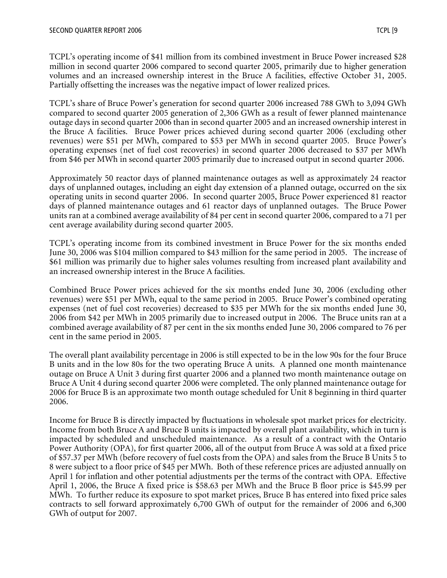TCPL's operating income of \$41 million from its combined investment in Bruce Power increased \$28 million in second quarter 2006 compared to second quarter 2005, primarily due to higher generation volumes and an increased ownership interest in the Bruce A facilities, effective October 31, 2005. Partially offsetting the increases was the negative impact of lower realized prices.

TCPL's share of Bruce Power's generation for second quarter 2006 increased 788 GWh to 3,094 GWh compared to second quarter 2005 generation of 2,306 GWh as a result of fewer planned maintenance outage days in second quarter 2006 than in second quarter 2005 and an increased ownership interest in the Bruce A facilities. Bruce Power prices achieved during second quarter 2006 (excluding other revenues) were \$51 per MWh, compared to \$53 per MWh in second quarter 2005. Bruce Power's operating expenses (net of fuel cost recoveries) in second quarter 2006 decreased to \$37 per MWh from \$46 per MWh in second quarter 2005 primarily due to increased output in second quarter 2006.

Approximately 50 reactor days of planned maintenance outages as well as approximately 24 reactor days of unplanned outages, including an eight day extension of a planned outage, occurred on the six operating units in second quarter 2006. In second quarter 2005, Bruce Power experienced 81 reactor days of planned maintenance outages and 61 reactor days of unplanned outages. The Bruce Power units ran at a combined average availability of 84 per cent in second quarter 2006, compared to a 71 per cent average availability during second quarter 2005.

TCPL's operating income from its combined investment in Bruce Power for the six months ended June 30, 2006 was \$104 million compared to \$43 million for the same period in 2005. The increase of \$61 million was primarily due to higher sales volumes resulting from increased plant availability and an increased ownership interest in the Bruce A facilities.

Combined Bruce Power prices achieved for the six months ended June 30, 2006 (excluding other revenues) were \$51 per MWh, equal to the same period in 2005. Bruce Power's combined operating expenses (net of fuel cost recoveries) decreased to \$35 per MWh for the six months ended June 30, 2006 from \$42 per MWh in 2005 primarily due to increased output in 2006. The Bruce units ran at a combined average availability of 87 per cent in the six months ended June 30, 2006 compared to 76 per cent in the same period in 2005.

The overall plant availability percentage in 2006 is still expected to be in the low 90s for the four Bruce B units and in the low 80s for the two operating Bruce A units. A planned one month maintenance outage on Bruce A Unit 3 during first quarter 2006 and a planned two month maintenance outage on Bruce A Unit 4 during second quarter 2006 were completed. The only planned maintenance outage for 2006 for Bruce B is an approximate two month outage scheduled for Unit 8 beginning in third quarter 2006.

Income for Bruce B is directly impacted by fluctuations in wholesale spot market prices for electricity. Income from both Bruce A and Bruce B units is impacted by overall plant availability, which in turn is impacted by scheduled and unscheduled maintenance. As a result of a contract with the Ontario Power Authority (OPA), for first quarter 2006, all of the output from Bruce A was sold at a fixed price of \$57.37 per MWh (before recovery of fuel costs from the OPA) and sales from the Bruce B Units 5 to 8 were subject to a floor price of \$45 per MWh. Both of these reference prices are adjusted annually on April 1 for inflation and other potential adjustments per the terms of the contract with OPA. Effective April 1, 2006, the Bruce A fixed price is \$58.63 per MWh and the Bruce B floor price is \$45.99 per MWh. To further reduce its exposure to spot market prices, Bruce B has entered into fixed price sales contracts to sell forward approximately 6,700 GWh of output for the remainder of 2006 and 6,300 GWh of output for 2007.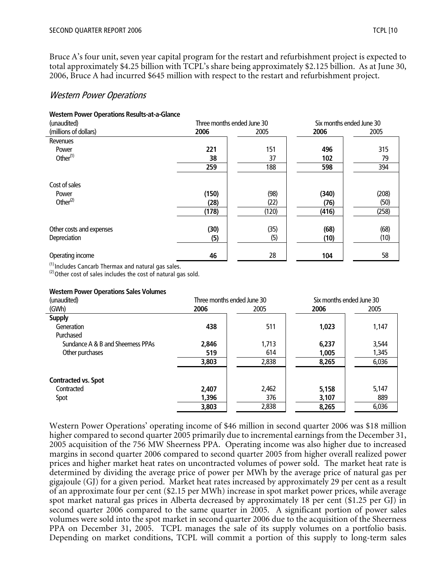Bruce A's four unit, seven year capital program for the restart and refurbishment project is expected to total approximately \$4.25 billion with TCPL's share being approximately \$2.125 billion. As at June 30, 2006, Bruce A had incurred \$645 million with respect to the restart and refurbishment project.

## Western Power Operations

#### **Western Power Operations Results-at-a-Glance**

| (unaudited)              |       | Three months ended June 30 | Six months ended June 30 |       |  |
|--------------------------|-------|----------------------------|--------------------------|-------|--|
| (millions of dollars)    | 2006  | 2005                       | 2006                     | 2005  |  |
| Revenues                 |       |                            |                          |       |  |
| Power                    | 221   | 151                        | 496                      | 315   |  |
| Other $(1)$              | 38    | 37                         | 102                      | 79    |  |
|                          | 259   | 188                        | 598                      | 394   |  |
| Cost of sales            |       |                            |                          |       |  |
| Power                    | (150) | (98)                       | (340)                    | (208) |  |
| Other $(2)$              | (28)  | (22)                       | (76)                     | (50)  |  |
|                          | (178) | (120)                      | (416)                    | (258) |  |
|                          |       |                            |                          |       |  |
| Other costs and expenses | (30)  | (35)                       | (68)                     | (68)  |  |
| Depreciation             | (5)   | (5)                        | (10)                     | (10)  |  |
| Operating income         | 46    | 28                         | 104                      | 58    |  |

 $<sup>(1)</sup>$ Includes Cancarb Thermax and natural gas sales.</sup>

 $^{(2)}$ Other cost of sales includes the cost of natural gas sold.

#### **Western Power Operations Sales Volumes**

| (unaudited)                       | Three months ended June 30 |       | Six months ended June 30 |       |  |
|-----------------------------------|----------------------------|-------|--------------------------|-------|--|
| (GWh)                             | 2006                       | 2005  | 2006                     | 2005  |  |
| <b>Supply</b>                     |                            |       |                          |       |  |
| Generation                        | 438                        | 511   | 1,023                    | 1,147 |  |
| Purchased                         |                            |       |                          |       |  |
| Sundance A & B and Sheerness PPAs | 2,846                      | 1,713 | 6,237                    | 3,544 |  |
| Other purchases                   | 519                        | 614   | 1,005                    | 1,345 |  |
|                                   | 3,803                      | 2,838 | 8,265                    | 6,036 |  |
| <b>Contracted vs. Spot</b>        |                            |       |                          |       |  |
| Contracted                        | 2,407                      | 2,462 | 5,158                    | 5,147 |  |
| Spot                              | 1,396                      | 376   | 3,107                    | 889   |  |
|                                   | 3,803                      | 2,838 | 8,265                    | 6,036 |  |

Western Power Operations' operating income of \$46 million in second quarter 2006 was \$18 million higher compared to second quarter 2005 primarily due to incremental earnings from the December 31, 2005 acquisition of the 756 MW Sheerness PPA. Operating income was also higher due to increased margins in second quarter 2006 compared to second quarter 2005 from higher overall realized power prices and higher market heat rates on uncontracted volumes of power sold. The market heat rate is determined by dividing the average price of power per MWh by the average price of natural gas per gigajoule (GJ) for a given period. Market heat rates increased by approximately 29 per cent as a result of an approximate four per cent (\$2.15 per MWh) increase in spot market power prices, while average spot market natural gas prices in Alberta decreased by approximately 18 per cent (\$1.25 per GJ) in second quarter 2006 compared to the same quarter in 2005. A significant portion of power sales volumes were sold into the spot market in second quarter 2006 due to the acquisition of the Sheerness PPA on December 31, 2005. TCPL manages the sale of its supply volumes on a portfolio basis. Depending on market conditions, TCPL will commit a portion of this supply to long-term sales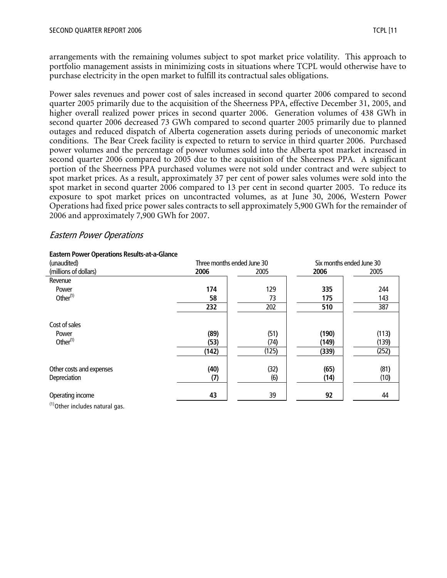arrangements with the remaining volumes subject to spot market price volatility. This approach to portfolio management assists in minimizing costs in situations where TCPL would otherwise have to purchase electricity in the open market to fulfill its contractual sales obligations.

Power sales revenues and power cost of sales increased in second quarter 2006 compared to second quarter 2005 primarily due to the acquisition of the Sheerness PPA, effective December 31, 2005, and higher overall realized power prices in second quarter 2006. Generation volumes of 438 GWh in second quarter 2006 decreased 73 GWh compared to second quarter 2005 primarily due to planned outages and reduced dispatch of Alberta cogeneration assets during periods of uneconomic market conditions. The Bear Creek facility is expected to return to service in third quarter 2006. Purchased power volumes and the percentage of power volumes sold into the Alberta spot market increased in second quarter 2006 compared to 2005 due to the acquisition of the Sheerness PPA. A significant portion of the Sheerness PPA purchased volumes were not sold under contract and were subject to spot market prices. As a result, approximately 37 per cent of power sales volumes were sold into the spot market in second quarter 2006 compared to 13 per cent in second quarter 2005. To reduce its exposure to spot market prices on uncontracted volumes, as at June 30, 2006, Western Power Operations had fixed price power sales contracts to sell approximately 5,900 GWh for the remainder of 2006 and approximately 7,900 GWh for 2007.

## Eastern Power Operations

| Three months ended June 30<br>Six months ended June 30<br>(unaudited)<br>(millions of dollars)<br>2006<br>2006<br>2005<br>2005<br>Revenue<br>129<br>174<br>335<br>Power<br>Other $(1)$<br>73<br>58<br>175<br>202<br>232<br>510<br>Cost of sales<br>(89)<br>(51)<br>(190)<br>Power<br>Other $(1)$<br>(74)<br>(53)<br>(149)<br>(125)<br>(142)<br>(339)<br>(32)<br>Other costs and expenses<br>(40)<br>(65)<br>(6)<br>Depreciation<br>(7)<br>(14) | Edstein Fower Operations Results-at-d-Giance |  |  |       |  |
|------------------------------------------------------------------------------------------------------------------------------------------------------------------------------------------------------------------------------------------------------------------------------------------------------------------------------------------------------------------------------------------------------------------------------------------------|----------------------------------------------|--|--|-------|--|
|                                                                                                                                                                                                                                                                                                                                                                                                                                                |                                              |  |  |       |  |
|                                                                                                                                                                                                                                                                                                                                                                                                                                                |                                              |  |  |       |  |
|                                                                                                                                                                                                                                                                                                                                                                                                                                                |                                              |  |  |       |  |
|                                                                                                                                                                                                                                                                                                                                                                                                                                                |                                              |  |  | 244   |  |
|                                                                                                                                                                                                                                                                                                                                                                                                                                                |                                              |  |  | 143   |  |
|                                                                                                                                                                                                                                                                                                                                                                                                                                                |                                              |  |  | 387   |  |
|                                                                                                                                                                                                                                                                                                                                                                                                                                                |                                              |  |  |       |  |
|                                                                                                                                                                                                                                                                                                                                                                                                                                                |                                              |  |  | (113) |  |
|                                                                                                                                                                                                                                                                                                                                                                                                                                                |                                              |  |  | (139) |  |
|                                                                                                                                                                                                                                                                                                                                                                                                                                                |                                              |  |  | (252) |  |
|                                                                                                                                                                                                                                                                                                                                                                                                                                                |                                              |  |  | (81)  |  |
|                                                                                                                                                                                                                                                                                                                                                                                                                                                |                                              |  |  | (10)  |  |
| 39<br>92<br>43<br>Operating income<br>$(1)$ $(1)$                                                                                                                                                                                                                                                                                                                                                                                              |                                              |  |  | 44    |  |

#### **Eastern Power Operations Results-at-a-Glance**

 $(1)$ Other includes natural gas.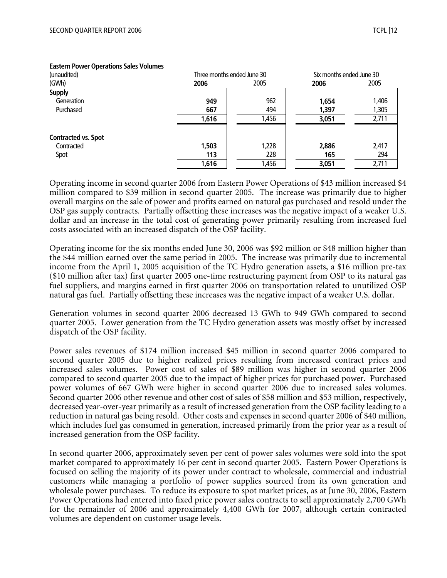| (unaudited)                | Three months ended June 30 |       | Six months ended June 30 |       |
|----------------------------|----------------------------|-------|--------------------------|-------|
| (GWh)                      | 2006                       | 2005  | 2006                     | 2005  |
| <b>Supply</b>              |                            |       |                          |       |
| Generation                 | 949                        | 962   | 1,654                    | 1,406 |
| Purchased                  | 667                        | 494   | 1,397                    | 1,305 |
|                            | 1,616                      | 1,456 | 3,051                    | 2,711 |
| <b>Contracted vs. Spot</b> |                            |       |                          |       |
| Contracted                 | 1,503                      | 1,228 | 2,886                    | 2,417 |
| Spot                       | 113                        | 228   | 165                      | 294   |
|                            | 1,616                      | 1,456 | 3,051                    | 2,711 |

#### **Eastern Power Operations Sales Volumes**

Operating income in second quarter 2006 from Eastern Power Operations of \$43 million increased \$4 million compared to \$39 million in second quarter 2005. The increase was primarily due to higher overall margins on the sale of power and profits earned on natural gas purchased and resold under the OSP gas supply contracts. Partially offsetting these increases was the negative impact of a weaker U.S. dollar and an increase in the total cost of generating power primarily resulting from increased fuel costs associated with an increased dispatch of the OSP facility*.*

Operating income for the six months ended June 30, 2006 was \$92 million or \$48 million higher than the \$44 million earned over the same period in 2005. The increase was primarily due to incremental income from the April 1, 2005 acquisition of the TC Hydro generation assets, a \$16 million pre-tax (\$10 million after tax) first quarter 2005 one-time restructuring payment from OSP to its natural gas fuel suppliers, and margins earned in first quarter 2006 on transportation related to unutilized OSP natural gas fuel. Partially offsetting these increases was the negative impact of a weaker U.S. dollar.

Generation volumes in second quarter 2006 decreased 13 GWh to 949 GWh compared to second quarter 2005. Lower generation from the TC Hydro generation assets was mostly offset by increased dispatch of the OSP facility.

Power sales revenues of \$174 million increased \$45 million in second quarter 2006 compared to second quarter 2005 due to higher realized prices resulting from increased contract prices and increased sales volumes. Power cost of sales of \$89 million was higher in second quarter 2006 compared to second quarter 2005 due to the impact of higher prices for purchased power. Purchased power volumes of 667 GWh were higher in second quarter 2006 due to increased sales volumes. Second quarter 2006 other revenue and other cost of sales of \$58 million and \$53 million, respectively, decreased year-over-year primarily as a result of increased generation from the OSP facility leading to a reduction in natural gas being resold. Other costs and expenses in second quarter 2006 of \$40 million, which includes fuel gas consumed in generation, increased primarily from the prior year as a result of increased generation from the OSP facility.

In second quarter 2006, approximately seven per cent of power sales volumes were sold into the spot market compared to approximately 16 per cent in second quarter 2005. Eastern Power Operations is focused on selling the majority of its power under contract to wholesale, commercial and industrial customers while managing a portfolio of power supplies sourced from its own generation and wholesale power purchases. To reduce its exposure to spot market prices, as at June 30, 2006, Eastern Power Operations had entered into fixed price power sales contracts to sell approximately 2,700 GWh for the remainder of 2006 and approximately 4,400 GWh for 2007, although certain contracted volumes are dependent on customer usage levels.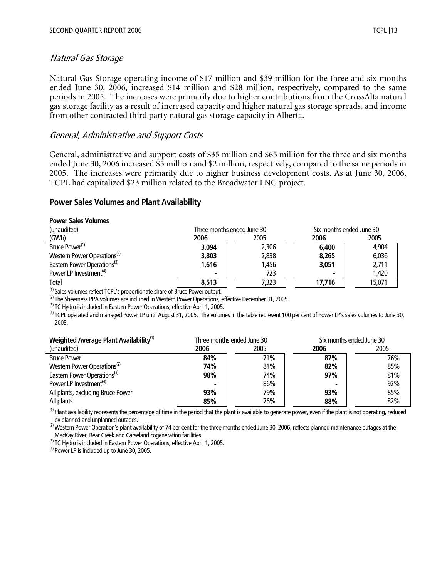## Natural Gas Storage

Natural Gas Storage operating income of \$17 million and \$39 million for the three and six months ended June 30, 2006, increased \$14 million and \$28 million, respectively, compared to the same periods in 2005. The increases were primarily due to higher contributions from the CrossAlta natural gas storage facility as a result of increased capacity and higher natural gas storage spreads, and income from other contracted third party natural gas storage capacity in Alberta.

## General, Administrative and Support Costs

General, administrative and support costs of \$35 million and \$65 million for the three and six months ended June 30, 2006 increased \$5 million and \$2 million, respectively, compared to the same periods in 2005. The increases were primarily due to higher business development costs. As at June 30, 2006, TCPL had capitalized \$23 million related to the Broadwater LNG project.

#### **Power Sales Volumes and Plant Availability**

| <b>Power Sales Volumes</b>              |                            |       |                          |        |  |
|-----------------------------------------|----------------------------|-------|--------------------------|--------|--|
| (unaudited)                             | Three months ended June 30 |       | Six months ended June 30 |        |  |
| (GWh)                                   | 2006                       | 2005  | 2006                     | 2005   |  |
| Bruce Power <sup>(1)</sup>              | 3,094                      | 2,306 | 6,400                    | 4,904  |  |
| Western Power Operations <sup>(2)</sup> | 3,803                      | 2,838 | 8,265                    | 6,036  |  |
| Eastern Power Operations <sup>(3)</sup> | 1,616                      | 1,456 | 3,051                    | 2,711  |  |
| Power LP Investment <sup>(4)</sup>      | $\blacksquare$             | 723   |                          | 1,420  |  |
| Total                                   | 8.513                      | 7,323 | 17.716                   | 15,071 |  |

(1) Sales volumes reflect TCPL's proportionate share of Bruce Power output.

 $^{(2)}$  The Sheerness PPA volumes are included in Western Power Operations, effective December 31, 2005.

 $^{(3)}$  TC Hydro is included in Eastern Power Operations, effective April 1, 2005.

<sup>(4)</sup> TCPL operated and managed Power LP until August 31, 2005. The volumes in the table represent 100 per cent of Power LP's sales volumes to June 30, 2005.

| Weighted Average Plant Availability <sup>(1)</sup> | Three months ended June 30 |      |      | Six months ended June 30 |
|----------------------------------------------------|----------------------------|------|------|--------------------------|
| (unaudited)                                        | 2006                       | 2005 | 2006 | 2005                     |
| <b>Bruce Power</b>                                 | 84%                        | 71%  | 87%  | 76%                      |
| Western Power Operations <sup>(2)</sup>            | 74%                        | 81%  | 82%  | 85%                      |
| Eastern Power Operations <sup>(3)</sup>            | 98%                        | 74%  | 97%  | 81%                      |
| Power LP Investment <sup>(4)</sup>                 | $\blacksquare$             | 86%  |      | 92%                      |
| All plants, excluding Bruce Power                  | 93%                        | 79%  | 93%  | 85%                      |
| All plants                                         | 85%                        | 76%  | 88%  | 82%                      |

 $^{(1)}$  Plant availability represents the percentage of time in the period that the plant is available to generate power, even if the plant is not operating, reduced by planned and unplanned outages.

<sup>(2)</sup> Western Power Operation's plant availability of 74 per cent for the three months ended June 30, 2006, reflects planned maintenance outages at the MacKay River, Bear Creek and Carseland cogeneration facilities.

 $^{(3)}$  TC Hydro is included in Eastern Power Operations, effective April 1, 2005.

 $^{(4)}$  Power LP is included up to June 30, 2005.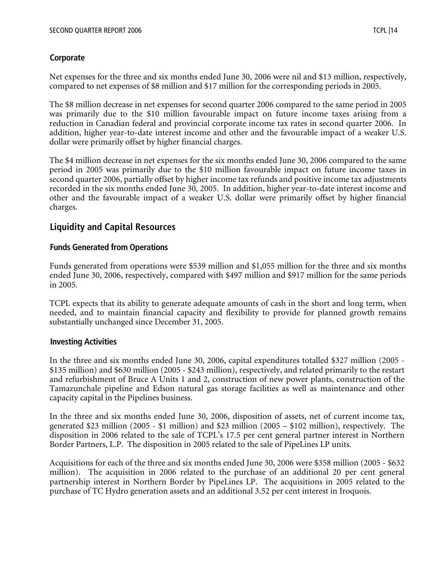## **Corporate**

Net expenses for the three and six months ended June 30, 2006 were nil and \$13 million, respectively, compared to net expenses of \$8 million and \$17 million for the corresponding periods in 2005.

The \$8 million decrease in net expenses for second quarter 2006 compared to the same period in 2005 was primarily due to the \$10 million favourable impact on future income taxes arising from a reduction in Canadian federal and provincial corporate income tax rates in second quarter 2006. In addition, higher year-to-date interest income and other and the favourable impact of a weaker U.S. dollar were primarily offset by higher financial charges.

The \$4 million decrease in net expenses for the six months ended June 30, 2006 compared to the same period in 2005 was primarily due to the \$10 million favourable impact on future income taxes in second quarter 2006, partially offset by higher income tax refunds and positive income tax adjustments recorded in the six months ended June 30, 2005. In addition, higher year-to-date interest income and other and the favourable impact of a weaker U.S. dollar were primarily offset by higher financial charges.

## **Liquidity and Capital Resources**

## **Funds Generated from Operations**

Funds generated from operations were \$539 million and \$1,055 million for the three and six months ended June 30, 2006, respectively, compared with \$497 million and \$917 million for the same periods in 2005.

TCPL expects that its ability to generate adequate amounts of cash in the short and long term, when needed, and to maintain financial capacity and flexibility to provide for planned growth remains substantially unchanged since December 31, 2005.

## **Investing Activities**

In the three and six months ended June 30, 2006, capital expenditures totalled \$327 million (2005 - \$135 million) and \$630 million (2005 - \$243 million), respectively, and related primarily to the restart and refurbishment of Bruce A Units 1 and 2, construction of new power plants, construction of the Tamazunchale pipeline and Edson natural gas storage facilities as well as maintenance and other capacity capital in the Pipelines business.

In the three and six months ended June 30, 2006, disposition of assets, net of current income tax, generated \$23 million (2005 - \$1 million) and \$23 million (2005 – \$102 million), respectively. The disposition in 2006 related to the sale of TCPL's 17.5 per cent general partner interest in Northern Border Partners, L.P. The disposition in 2005 related to the sale of PipeLines LP units.

Acquisitions for each of the three and six months ended June 30, 2006 were \$358 million (2005 - \$632 million). The acquisition in 2006 related to the purchase of an additional 20 per cent general partnership interest in Northern Border by PipeLines LP. The acquisitions in 2005 related to the purchase of TC Hydro generation assets and an additional 3.52 per cent interest in Iroquois.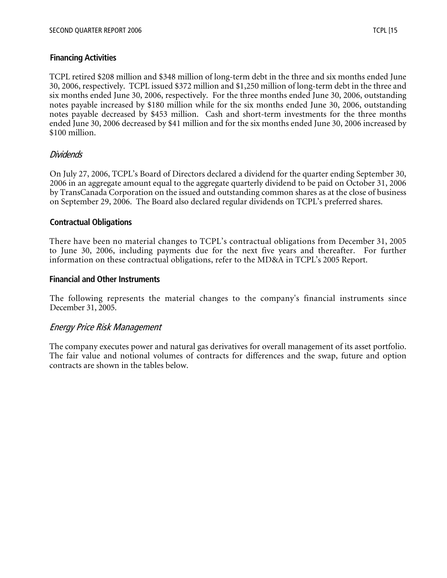## **Financing Activities**

TCPL retired \$208 million and \$348 million of long-term debt in the three and six months ended June 30, 2006, respectively. TCPL issued \$372 million and \$1,250 million of long-term debt in the three and six months ended June 30, 2006, respectively. For the three months ended June 30, 2006, outstanding notes payable increased by \$180 million while for the six months ended June 30, 2006, outstanding notes payable decreased by \$453 million. Cash and short-term investments for the three months ended June 30, 2006 decreased by \$41 million and for the six months ended June 30, 2006 increased by \$100 million.

## Dividends

On July 27, 2006, TCPL's Board of Directors declared a dividend for the quarter ending September 30, 2006 in an aggregate amount equal to the aggregate quarterly dividend to be paid on October 31, 2006 by TransCanada Corporation on the issued and outstanding common shares as at the close of business on September 29, 2006. The Board also declared regular dividends on TCPL's preferred shares.

## **Contractual Obligations**

There have been no material changes to TCPL's contractual obligations from December 31, 2005 to June 30, 2006, including payments due for the next five years and thereafter. For further information on these contractual obligations, refer to the MD&A in TCPL's 2005 Report.

#### **Financial and Other Instruments**

The following represents the material changes to the company's financial instruments since December 31, 2005.

## Energy Price Risk Management

The company executes power and natural gas derivatives for overall management of its asset portfolio. The fair value and notional volumes of contracts for differences and the swap, future and option contracts are shown in the tables below.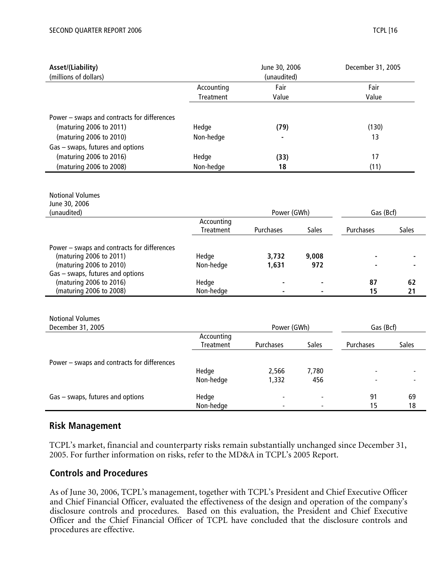| Asset/(Liability)                           |                         | June 30, 2006 |       | December 31, 2005 |              |
|---------------------------------------------|-------------------------|---------------|-------|-------------------|--------------|
| (millions of dollars)                       |                         | (unaudited)   |       |                   |              |
|                                             | Accounting              | Fair          |       | Fair              |              |
|                                             | Treatment               | Value         |       | Value             |              |
|                                             |                         |               |       |                   |              |
| Power - swaps and contracts for differences |                         |               |       |                   |              |
| (maturing 2006 to 2011)                     | Hedge                   | (79)          |       | (130)             |              |
| (maturing 2006 to 2010)                     | Non-hedge               |               |       | 13                |              |
| Gas - swaps, futures and options            |                         |               |       |                   |              |
| (maturing 2006 to 2016)                     | Hedge                   | (33)          |       | 17                |              |
| (maturing 2006 to 2008)                     | Non-hedge               | 18            |       | (11)              |              |
|                                             |                         |               |       |                   |              |
|                                             |                         |               |       |                   |              |
| <b>Notional Volumes</b>                     |                         |               |       |                   |              |
| June 30, 2006                               |                         |               |       |                   |              |
| (unaudited)                                 |                         | Power (GWh)   |       | Gas (Bcf)         |              |
|                                             | Accounting<br>Treatment | Purchases     | Sales | Purchases         | <b>Sales</b> |
|                                             |                         |               |       |                   |              |
| Power - swaps and contracts for differences |                         |               |       |                   |              |
| (maturing 2006 to 2011)                     | Hedge                   | 3,732         | 9,008 |                   |              |
| (maturing 2006 to 2010)                     | Non-hedge               | 1,631         | 972   |                   |              |
| Gas - swaps, futures and options            |                         |               |       |                   |              |
| (maturing 2006 to 2016)                     | Hedge                   |               |       | 87                | 62           |
| (maturing 2006 to 2008)                     | Non-hedge               |               |       | 15                | 21           |
|                                             |                         |               |       |                   |              |
| <b>Notional Volumes</b>                     |                         |               |       |                   |              |
| December 31, 2005                           |                         | Power (GWh)   |       | Gas (Bcf)         |              |
|                                             | Accounting              |               |       |                   |              |
|                                             | Treatment               | Purchases     | Sales | Purchases         | <b>Sales</b> |
|                                             |                         |               |       |                   |              |
| Power - swaps and contracts for differences |                         |               |       |                   |              |
|                                             | Hedge                   | 2,566         | 7,780 |                   |              |
|                                             | Non-hedge               | 1,332         | 456   |                   |              |
| Gas - swaps, futures and options            | Hedge                   |               |       | 91                | 69           |
|                                             | Non-hedge               |               |       | 15                | 18           |
|                                             |                         |               |       |                   |              |

## **Risk Management**

TCPL's market, financial and counterparty risks remain substantially unchanged since December 31, 2005. For further information on risks, refer to the MD&A in TCPL's 2005 Report.

## **Controls and Procedures**

As of June 30, 2006, TCPL's management, together with TCPL's President and Chief Executive Officer and Chief Financial Officer, evaluated the effectiveness of the design and operation of the company's disclosure controls and procedures. Based on this evaluation, the President and Chief Executive Officer and the Chief Financial Officer of TCPL have concluded that the disclosure controls and procedures are effective.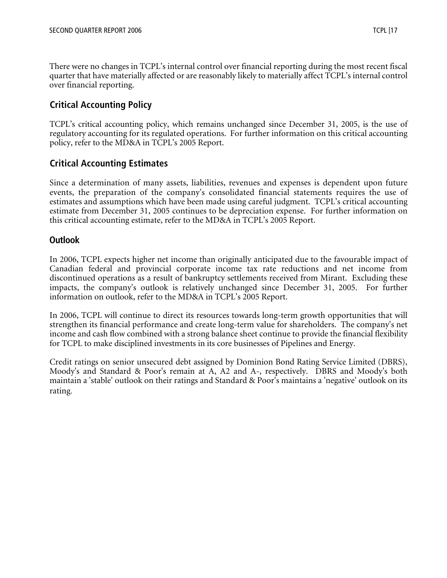There were no changes in TCPL's internal control over financial reporting during the most recent fiscal quarter that have materially affected or are reasonably likely to materially affect TCPL's internal control over financial reporting.

# **Critical Accounting Policy**

TCPL's critical accounting policy, which remains unchanged since December 31, 2005, is the use of regulatory accounting for its regulated operations. For further information on this critical accounting policy, refer to the MD&A in TCPL's 2005 Report.

# **Critical Accounting Estimates**

Since a determination of many assets, liabilities, revenues and expenses is dependent upon future events, the preparation of the company's consolidated financial statements requires the use of estimates and assumptions which have been made using careful judgment. TCPL's critical accounting estimate from December 31, 2005 continues to be depreciation expense. For further information on this critical accounting estimate, refer to the MD&A in TCPL's 2005 Report.

## **Outlook**

In 2006, TCPL expects higher net income than originally anticipated due to the favourable impact of Canadian federal and provincial corporate income tax rate reductions and net income from discontinued operations as a result of bankruptcy settlements received from Mirant. Excluding these impacts, the company's outlook is relatively unchanged since December 31, 2005. For further information on outlook, refer to the MD&A in TCPL's 2005 Report.

In 2006, TCPL will continue to direct its resources towards long-term growth opportunities that will strengthen its financial performance and create long-term value for shareholders. The company's net income and cash flow combined with a strong balance sheet continue to provide the financial flexibility for TCPL to make disciplined investments in its core businesses of Pipelines and Energy.

Credit ratings on senior unsecured debt assigned by Dominion Bond Rating Service Limited (DBRS), Moody's and Standard & Poor's remain at A, A2 and A-, respectively. DBRS and Moody's both maintain a 'stable' outlook on their ratings and Standard & Poor's maintains a 'negative' outlook on its rating.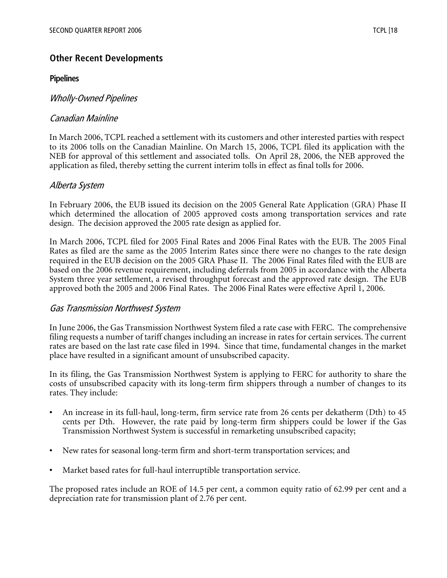## **Other Recent Developments**

#### **Pipelines**

## Wholly-Owned Pipelines

## Canadian Mainline

In March 2006, TCPL reached a settlement with its customers and other interested parties with respect to its 2006 tolls on the Canadian Mainline. On March 15, 2006, TCPL filed its application with the NEB for approval of this settlement and associated tolls. On April 28, 2006, the NEB approved the application as filed, thereby setting the current interim tolls in effect as final tolls for 2006.

#### Alberta System

In February 2006, the EUB issued its decision on the 2005 General Rate Application (GRA) Phase II which determined the allocation of 2005 approved costs among transportation services and rate design. The decision approved the 2005 rate design as applied for.

In March 2006, TCPL filed for 2005 Final Rates and 2006 Final Rates with the EUB. The 2005 Final Rates as filed are the same as the 2005 Interim Rates since there were no changes to the rate design required in the EUB decision on the 2005 GRA Phase II. The 2006 Final Rates filed with the EUB are based on the 2006 revenue requirement, including deferrals from 2005 in accordance with the Alberta System three year settlement, a revised throughput forecast and the approved rate design. The EUB approved both the 2005 and 2006 Final Rates. The 2006 Final Rates were effective April 1, 2006.

#### Gas Transmission Northwest System

In June 2006, the Gas Transmission Northwest System filed a rate case with FERC. The comprehensive filing requests a number of tariff changes including an increase in rates for certain services. The current rates are based on the last rate case filed in 1994. Since that time, fundamental changes in the market place have resulted in a significant amount of unsubscribed capacity.

In its filing, the Gas Transmission Northwest System is applying to FERC for authority to share the costs of unsubscribed capacity with its long-term firm shippers through a number of changes to its rates. They include:

- An increase in its full-haul, long-term, firm service rate from 26 cents per dekatherm (Dth) to 45 cents per Dth. However, the rate paid by long-term firm shippers could be lower if the Gas Transmission Northwest System is successful in remarketing unsubscribed capacity;
- New rates for seasonal long-term firm and short-term transportation services; and
- Market based rates for full-haul interruptible transportation service.

The proposed rates include an ROE of 14.5 per cent, a common equity ratio of 62.99 per cent and a depreciation rate for transmission plant of 2.76 per cent.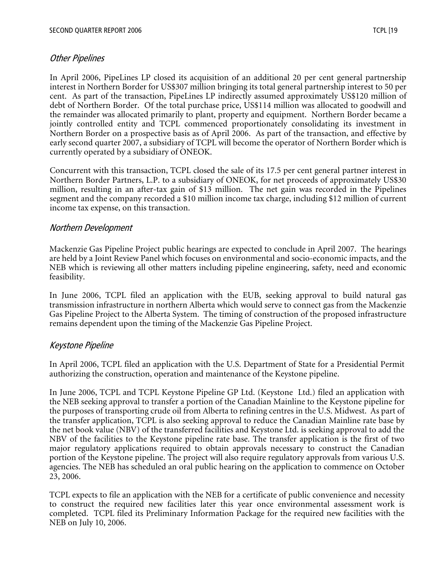## Other Pipelines

In April 2006, PipeLines LP closed its acquisition of an additional 20 per cent general partnership interest in Northern Border for US\$307 million bringing its total general partnership interest to 50 per cent. As part of the transaction, PipeLines LP indirectly assumed approximately US\$120 million of debt of Northern Border. Of the total purchase price, US\$114 million was allocated to goodwill and the remainder was allocated primarily to plant, property and equipment. Northern Border became a jointly controlled entity and TCPL commenced proportionately consolidating its investment in Northern Border on a prospective basis as of April 2006. As part of the transaction, and effective by early second quarter 2007, a subsidiary of TCPL will become the operator of Northern Border which is currently operated by a subsidiary of ONEOK.

Concurrent with this transaction, TCPL closed the sale of its 17.5 per cent general partner interest in Northern Border Partners, L.P. to a subsidiary of ONEOK, for net proceeds of approximately US\$30 million, resulting in an after-tax gain of \$13 million. The net gain was recorded in the Pipelines segment and the company recorded a \$10 million income tax charge, including \$12 million of current income tax expense, on this transaction.

## Northern Development

Mackenzie Gas Pipeline Project public hearings are expected to conclude in April 2007. The hearings are held by a Joint Review Panel which focuses on environmental and socio-economic impacts, and the NEB which is reviewing all other matters including pipeline engineering, safety, need and economic feasibility.

In June 2006, TCPL filed an application with the EUB, seeking approval to build natural gas transmission infrastructure in northern Alberta which would serve to connect gas from the Mackenzie Gas Pipeline Project to the Alberta System. The timing of construction of the proposed infrastructure remains dependent upon the timing of the Mackenzie Gas Pipeline Project.

## Keystone Pipeline

In April 2006, TCPL filed an application with the U.S. Department of State for a Presidential Permit authorizing the construction, operation and maintenance of the Keystone pipeline.

In June 2006, TCPL and TCPL Keystone Pipeline GP Ltd. (Keystone Ltd.) filed an application with the NEB seeking approval to transfer a portion of the Canadian Mainline to the Keystone pipeline for the purposes of transporting crude oil from Alberta to refining centres in the U.S. Midwest. As part of the transfer application, TCPL is also seeking approval to reduce the Canadian Mainline rate base by the net book value (NBV) of the transferred facilities and Keystone Ltd. is seeking approval to add the NBV of the facilities to the Keystone pipeline rate base. The transfer application is the first of two major regulatory applications required to obtain approvals necessary to construct the Canadian portion of the Keystone pipeline. The project will also require regulatory approvals from various U.S. agencies. The NEB has scheduled an oral public hearing on the application to commence on October 23, 2006.

TCPL expects to file an application with the NEB for a certificate of public convenience and necessity to construct the required new facilities later this year once environmental assessment work is completed. TCPL filed its Preliminary Information Package for the required new facilities with the NEB on July 10, 2006.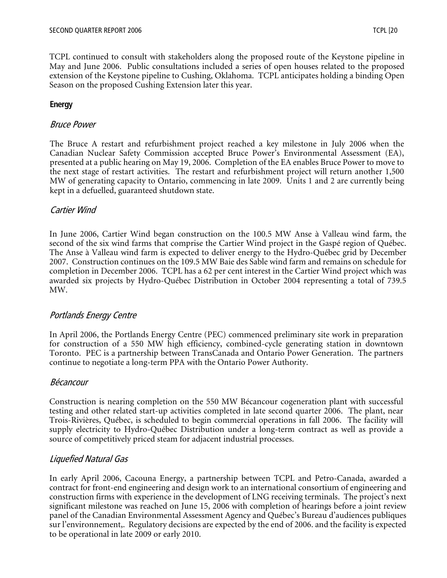TCPL continued to consult with stakeholders along the proposed route of the Keystone pipeline in May and June 2006. Public consultations included a series of open houses related to the proposed extension of the Keystone pipeline to Cushing, Oklahoma. TCPL anticipates holding a binding Open Season on the proposed Cushing Extension later this year.

## **Energy**

## Bruce Power

The Bruce A restart and refurbishment project reached a key milestone in July 2006 when the Canadian Nuclear Safety Commission accepted Bruce Power's Environmental Assessment (EA), presented at a public hearing on May 19, 2006. Completion of the EA enables Bruce Power to move to the next stage of restart activities. The restart and refurbishment project will return another 1,500 MW of generating capacity to Ontario, commencing in late 2009. Units 1 and 2 are currently being kept in a defuelled, guaranteed shutdown state.

## Cartier Wind

In June 2006, Cartier Wind began construction on the 100.5 MW Anse à Valleau wind farm, the second of the six wind farms that comprise the Cartier Wind project in the Gaspé region of Québec. The Anse à Valleau wind farm is expected to deliver energy to the Hydro-Québec grid by December 2007. Construction continues on the 109.5 MW Baie des Sable wind farm and remains on schedule for completion in December 2006. TCPL has a 62 per cent interest in the Cartier Wind project which was awarded six projects by Hydro-Québec Distribution in October 2004 representing a total of 739.5 MW.

## Portlands Energy Centre

In April 2006, the Portlands Energy Centre (PEC) commenced preliminary site work in preparation for construction of a 550 MW high efficiency, combined-cycle generating station in downtown Toronto. PEC is a partnership between TransCanada and Ontario Power Generation. The partners continue to negotiate a long-term PPA with the Ontario Power Authority.

## Bécancour

Construction is nearing completion on the 550 MW Bécancour cogeneration plant with successful testing and other related start-up activities completed in late second quarter 2006. The plant, near Trois-Rivières, Québec, is scheduled to begin commercial operations in fall 2006. The facility will supply electricity to Hydro-Québec Distribution under a long-term contract as well as provide a source of competitively priced steam for adjacent industrial processes.

## Liquefied Natural Gas

In early April 2006, Cacouna Energy, a partnership between TCPL and Petro-Canada, awarded a contract for front-end engineering and design work to an international consortium of engineering and construction firms with experience in the development of LNG receiving terminals. The project's next significant milestone was reached on June 15, 2006 with completion of hearings before a joint review panel of the Canadian Environmental Assessment Agency and Québec's Bureau d'audiences publiques sur l'environnement,. Regulatory decisions are expected by the end of 2006. and the facility is expected to be operational in late 2009 or early 2010.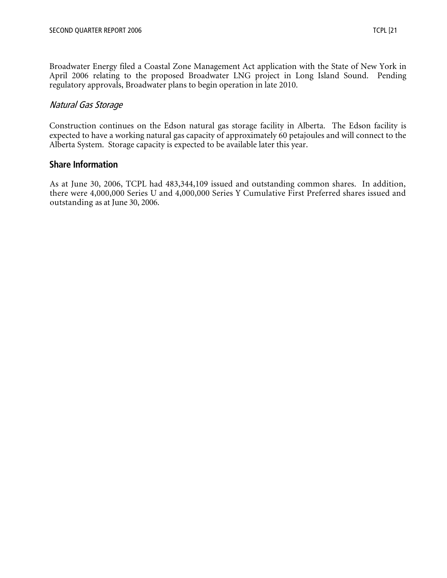Broadwater Energy filed a Coastal Zone Management Act application with the State of New York in April 2006 relating to the proposed Broadwater LNG project in Long Island Sound. Pending regulatory approvals, Broadwater plans to begin operation in late 2010.

## Natural Gas Storage

Construction continues on the Edson natural gas storage facility in Alberta. The Edson facility is expected to have a working natural gas capacity of approximately 60 petajoules and will connect to the Alberta System. Storage capacity is expected to be available later this year.

#### **Share Information**

As at June 30, 2006, TCPL had 483,344,109 issued and outstanding common shares. In addition, there were 4,000,000 Series U and 4,000,000 Series Y Cumulative First Preferred shares issued and outstanding as at June 30, 2006.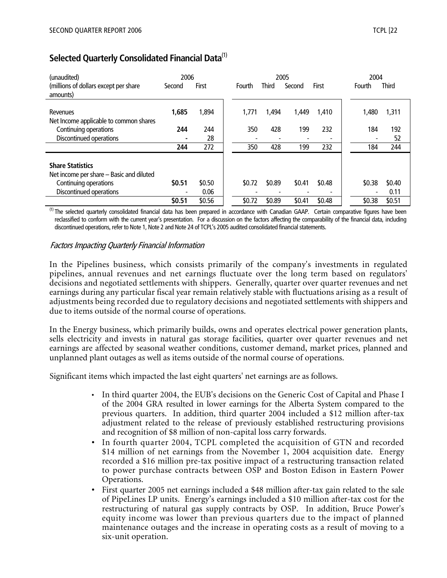# **Selected Quarterly Consolidated Financial Data**(1)

| (unaudited)<br>(millions of dollars except per share<br>amounts)                                                        | 2006<br>Second | First          | Fourth | <b>Third</b> | 2005<br>Second | First  | 2004<br>Fourth | <b>Third</b>   |
|-------------------------------------------------------------------------------------------------------------------------|----------------|----------------|--------|--------------|----------------|--------|----------------|----------------|
| Revenues<br>Net Income applicable to common shares                                                                      | 1,685          | 1,894          | 1,771  | 1.494        | 1.449          | 1,410  | 1.480          | 1,311          |
| Continuing operations<br>Discontinued operations                                                                        | 244            | 244<br>28      | 350    | 428          | 199            | 232    | 184            | 192<br>52      |
|                                                                                                                         | 244            | 272            | 350    | 428          | 199            | 232    | 184            | 244            |
| <b>Share Statistics</b><br>Net income per share - Basic and diluted<br>Continuing operations<br>Discontinued operations | \$0.51         | \$0.50<br>0.06 | \$0.72 | \$0.89       | \$0.41         | \$0.48 | \$0.38         | \$0.40<br>0.11 |
|                                                                                                                         | \$0.51         | \$0.56         | \$0.72 | \$0.89       | \$0.41         | \$0.48 | \$0.38         | \$0.51         |

<sup>(1)</sup> The selected quarterly consolidated financial data has been prepared in accordance with Canadian GAAP. Certain comparative figures have been reclassified to conform with the current year's presentation. For a discussion on the factors affecting the comparability of the financial data, including discontinued operations, refer to Note 1, Note 2 and Note 24 of TCPL's 2005 audited consolidated financial statements.

## Factors Impacting Quarterly Financial Information

In the Pipelines business, which consists primarily of the company's investments in regulated pipelines, annual revenues and net earnings fluctuate over the long term based on regulators' decisions and negotiated settlements with shippers. Generally, quarter over quarter revenues and net earnings during any particular fiscal year remain relatively stable with fluctuations arising as a result of adjustments being recorded due to regulatory decisions and negotiated settlements with shippers and due to items outside of the normal course of operations.

In the Energy business, which primarily builds, owns and operates electrical power generation plants, sells electricity and invests in natural gas storage facilities, quarter over quarter revenues and net earnings are affected by seasonal weather conditions, customer demand, market prices, planned and unplanned plant outages as well as items outside of the normal course of operations.

Significant items which impacted the last eight quarters' net earnings are as follows.

- In third quarter 2004, the EUB's decisions on the Generic Cost of Capital and Phase I of the 2004 GRA resulted in lower earnings for the Alberta System compared to the previous quarters. In addition, third quarter 2004 included a \$12 million after-tax adjustment related to the release of previously established restructuring provisions and recognition of \$8 million of non-capital loss carry forwards.
- In fourth quarter 2004, TCPL completed the acquisition of GTN and recorded \$14 million of net earnings from the November 1, 2004 acquisition date. Energy recorded a \$16 million pre-tax positive impact of a restructuring transaction related to power purchase contracts between OSP and Boston Edison in Eastern Power Operations.
- First quarter 2005 net earnings included a \$48 million after-tax gain related to the sale of PipeLines LP units. Energy's earnings included a \$10 million after-tax cost for the restructuring of natural gas supply contracts by OSP. In addition, Bruce Power's equity income was lower than previous quarters due to the impact of planned maintenance outages and the increase in operating costs as a result of moving to a six-unit operation.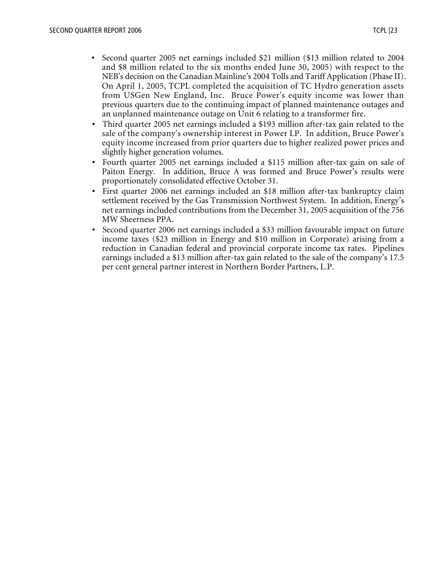- Second quarter 2005 net earnings included \$21 million (\$13 million related to 2004 and \$8 million related to the six months ended June 30, 2005) with respect to the NEB's decision on the Canadian Mainline's 2004 Tolls and Tariff Application (Phase II). On April 1, 2005, TCPL completed the acquisition of TC Hydro generation assets from USGen New England, Inc. Bruce Power's equity income was lower than previous quarters due to the continuing impact of planned maintenance outages and an unplanned maintenance outage on Unit 6 relating to a transformer fire.
- Third quarter 2005 net earnings included a \$193 million after-tax gain related to the sale of the company's ownership interest in Power LP. In addition, Bruce Power's equity income increased from prior quarters due to higher realized power prices and slightly higher generation volumes.
- Fourth quarter 2005 net earnings included a \$115 million after-tax gain on sale of Paiton Energy. In addition, Bruce A was formed and Bruce Power's results were proportionately consolidated effective October 31.
- First quarter 2006 net earnings included an \$18 million after-tax bankruptcy claim settlement received by the Gas Transmission Northwest System. In addition, Energy's net earnings included contributions from the December 31, 2005 acquisition of the 756 MW Sheerness PPA.
- Second quarter 2006 net earnings included a \$33 million favourable impact on future income taxes (\$23 million in Energy and \$10 million in Corporate) arising from a reduction in Canadian federal and provincial corporate income tax rates. Pipelines earnings included a \$13 million after-tax gain related to the sale of the company's 17.5 per cent general partner interest in Northern Border Partners, L.P.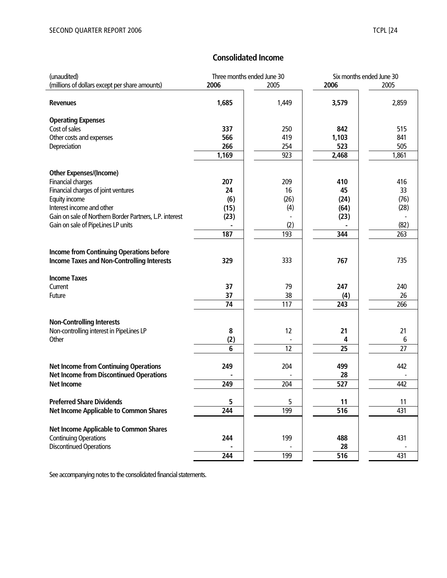## **Consolidated Income**

| (unaudited)                                             | Three months ended June 30 |       | Six months ended June 30 |           |  |
|---------------------------------------------------------|----------------------------|-------|--------------------------|-----------|--|
| (millions of dollars except per share amounts)          | 2006                       | 2005  | 2006                     | 2005      |  |
| <b>Revenues</b>                                         | 1,685                      | 1,449 | 3,579                    | 2,859     |  |
| <b>Operating Expenses</b>                               |                            |       |                          |           |  |
| Cost of sales                                           | 337                        | 250   | 842                      | 515       |  |
| Other costs and expenses                                | 566                        | 419   | 1,103                    | 841       |  |
| Depreciation                                            | 266                        | 254   | 523                      | 505       |  |
|                                                         | 1,169                      | 923   | 2,468                    | 1,861     |  |
|                                                         |                            |       |                          |           |  |
| <b>Other Expenses/(Income)</b>                          |                            |       |                          |           |  |
| Financial charges                                       | 207                        | 209   | 410                      | 416       |  |
| Financial charges of joint ventures                     | 24                         | 16    | 45                       | 33        |  |
| Equity income                                           | (6)                        | (26)  | (24)                     | (76)      |  |
| Interest income and other                               | (15)                       | (4)   | (64)                     | (28)      |  |
| Gain on sale of Northern Border Partners, L.P. interest | (23)                       |       | (23)                     |           |  |
| Gain on sale of PipeLines LP units                      |                            | (2)   |                          | (82)      |  |
|                                                         | 187                        | 193   | 344                      | 263       |  |
|                                                         |                            |       |                          |           |  |
| <b>Income from Continuing Operations before</b>         |                            |       |                          |           |  |
| <b>Income Taxes and Non-Controlling Interests</b>       | 329                        | 333   | 767                      | 735       |  |
|                                                         |                            |       |                          |           |  |
| <b>Income Taxes</b>                                     | 37                         | 79    | 247                      |           |  |
| Current<br>Future                                       | 37                         | 38    |                          | 240<br>26 |  |
|                                                         | 74                         | 117   | (4)<br>243               | 266       |  |
|                                                         |                            |       |                          |           |  |
| <b>Non-Controlling Interests</b>                        |                            |       |                          |           |  |
| Non-controlling interest in PipeLines LP                | 8                          | 12    | 21                       | 21        |  |
| Other                                                   | (2)                        |       | 4                        | 6         |  |
|                                                         | 6                          | 12    | 25                       | 27        |  |
|                                                         |                            |       |                          |           |  |
| <b>Net Income from Continuing Operations</b>            | 249                        | 204   | 499                      | 442       |  |
| <b>Net Income from Discontinued Operations</b>          |                            |       | 28                       |           |  |
| <b>Net Income</b>                                       | 249                        | 204   | 527                      | 442       |  |
|                                                         |                            |       |                          |           |  |
| <b>Preferred Share Dividends</b>                        | 5                          | 5     | 11                       | 11        |  |
| <b>Net Income Applicable to Common Shares</b>           | 244                        | 199   | 516                      | 431       |  |
|                                                         |                            |       |                          |           |  |
| <b>Net Income Applicable to Common Shares</b>           |                            |       |                          |           |  |
| <b>Continuing Operations</b>                            | 244                        | 199   | 488                      | 431       |  |
| <b>Discontinued Operations</b>                          |                            |       | 28                       |           |  |
|                                                         | 244                        | 199   | 516                      | 431       |  |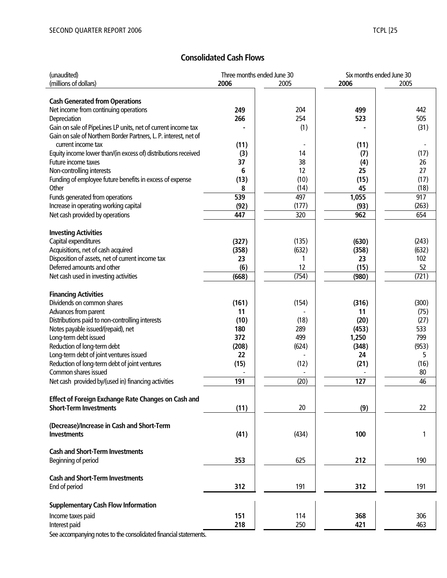# **Consolidated Cash Flows**

| (unaudited)                                                      | Three months ended June 30 |       | Six months ended June 30 |       |  |
|------------------------------------------------------------------|----------------------------|-------|--------------------------|-------|--|
| (millions of dollars)                                            | 2006                       | 2005  | 2006                     | 2005  |  |
|                                                                  |                            |       |                          |       |  |
| <b>Cash Generated from Operations</b>                            |                            |       |                          |       |  |
| Net income from continuing operations                            | 249                        | 204   | 499                      | 442   |  |
| Depreciation                                                     | 266                        | 254   | 523                      | 505   |  |
| Gain on sale of PipeLines LP units, net of current income tax    |                            | (1)   |                          | (31)  |  |
| Gain on sale of Northern Border Partners, L. P. interest, net of |                            |       |                          |       |  |
| current income tax                                               | (11)                       |       | (11)                     |       |  |
| Equity income lower than/(in excess of) distributions received   | (3)                        | 14    | (7)                      | (17)  |  |
| Future income taxes                                              | 37                         | 38    | (4)                      | 26    |  |
| Non-controlling interests                                        | 6                          | 12    | 25                       | 27    |  |
| Funding of employee future benefits in excess of expense         | (13)                       | (10)  | (15)                     | (17)  |  |
| Other                                                            | 8                          | (14)  | 45                       | (18)  |  |
|                                                                  |                            |       |                          |       |  |
| Funds generated from operations                                  | 539                        | 497   | 1,055                    | 917   |  |
| Increase in operating working capital                            | (92)                       | (177) | (93)                     | (263) |  |
| Net cash provided by operations                                  | 447                        | 320   | 962                      | 654   |  |
|                                                                  |                            |       |                          |       |  |
| <b>Investing Activities</b>                                      |                            |       |                          |       |  |
| Capital expenditures                                             | (327)                      | (135) | (630)                    | (243) |  |
| Acquisitions, net of cash acquired                               | (358)                      | (632) | (358)                    | (632) |  |
| Disposition of assets, net of current income tax                 | 23                         | 1     | 23                       | 102   |  |
| Deferred amounts and other                                       | (6)                        | 12    | (15)                     | 52    |  |
| Net cash used in investing activities                            | (668)                      | (754) | (980)                    | (721) |  |
|                                                                  |                            |       |                          |       |  |
| <b>Financing Activities</b>                                      |                            |       |                          |       |  |
| Dividends on common shares                                       | (161)                      | (154) | (316)                    | (300) |  |
| Advances from parent                                             | 11                         |       | 11                       | (75)  |  |
| Distributions paid to non-controlling interests                  | (10)                       | (18)  | (20)                     | (27)  |  |
| Notes payable issued/(repaid), net                               | 180                        | 289   | (453)                    | 533   |  |
| Long-term debt issued                                            | 372                        | 499   | 1,250                    | 799   |  |
| Reduction of long-term debt                                      | (208)                      | (624) | (348)                    | (953) |  |
| Long-term debt of joint ventures issued                          | 22                         |       | 24                       | 5     |  |
| Reduction of long-term debt of joint ventures                    | (15)                       | (12)  | (21)                     | (16)  |  |
| Common shares issued                                             |                            |       |                          | 80    |  |
| Net cash provided by/(used in) financing activities              | 191                        | (20)  | 127                      | 46    |  |
|                                                                  |                            |       |                          |       |  |
|                                                                  |                            |       |                          |       |  |
| Effect of Foreign Exchange Rate Changes on Cash and              |                            |       |                          |       |  |
| <b>Short-Term Investments</b>                                    | (11)                       | 20    | (9)                      | 22    |  |
|                                                                  |                            |       |                          |       |  |
| (Decrease)/Increase in Cash and Short-Term                       |                            |       |                          |       |  |
| <b>Investments</b>                                               | (41)                       | (434) | 100                      | 1     |  |
|                                                                  |                            |       |                          |       |  |
| <b>Cash and Short-Term Investments</b>                           |                            |       |                          |       |  |
| Beginning of period                                              | 353                        | 625   | 212                      | 190   |  |
|                                                                  |                            |       |                          |       |  |
| <b>Cash and Short-Term Investments</b>                           |                            |       |                          |       |  |
| End of period                                                    | 312                        | 191   | 312                      | 191   |  |
|                                                                  |                            |       |                          |       |  |
| <b>Supplementary Cash Flow Information</b>                       |                            |       |                          |       |  |
| Income taxes paid                                                | 151                        | 114   | 368                      | 306   |  |
|                                                                  | 218                        | 250   |                          | 463   |  |
| Interest paid                                                    |                            |       | 421                      |       |  |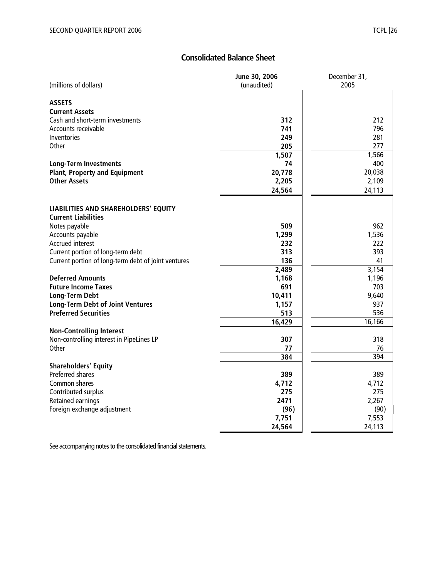# **Consolidated Balance Sheet**

|                                                     | June 30, 2006 | December 31, |
|-----------------------------------------------------|---------------|--------------|
| (millions of dollars)                               | (unaudited)   | 2005         |
|                                                     |               |              |
| <b>ASSETS</b>                                       |               |              |
| <b>Current Assets</b>                               |               |              |
| Cash and short-term investments                     | 312           | 212          |
| Accounts receivable                                 | 741           | 796          |
| Inventories                                         | 249           | 281          |
| Other                                               | 205           | 277          |
|                                                     | 1,507         | 1,566        |
| <b>Long-Term Investments</b>                        | 74            | 400          |
| <b>Plant, Property and Equipment</b>                | 20,778        | 20,038       |
| <b>Other Assets</b>                                 | 2,205         | 2,109        |
|                                                     | 24,564        | 24,113       |
|                                                     |               |              |
| LIABILITIES AND SHAREHOLDERS' EQUITY                |               |              |
| <b>Current Liabilities</b>                          |               |              |
| Notes payable                                       | 509           | 962          |
| Accounts payable                                    | 1,299         | 1,536        |
| <b>Accrued interest</b>                             | 232           | 222          |
| Current portion of long-term debt                   | 313           | 393          |
| Current portion of long-term debt of joint ventures | 136           | 41           |
|                                                     | 2,489         | 3,154        |
| <b>Deferred Amounts</b>                             | 1,168         | 1,196        |
| <b>Future Income Taxes</b>                          | 691           | 703          |
| <b>Long-Term Debt</b>                               | 10,411        | 9,640        |
| <b>Long-Term Debt of Joint Ventures</b>             | 1,157         | 937          |
| <b>Preferred Securities</b>                         | 513           | 536          |
|                                                     | 16,429        | 16,166       |
| <b>Non-Controlling Interest</b>                     |               |              |
| Non-controlling interest in PipeLines LP            | 307           | 318          |
| Other                                               | 77            | 76           |
|                                                     | 384           | 394          |
| <b>Shareholders' Equity</b>                         |               |              |
| Preferred shares                                    | 389           | 389          |
| Common shares                                       | 4,712         | 4,712        |
| Contributed surplus                                 | 275           | 275          |
| Retained earnings                                   | 2471          | 2,267        |
| Foreign exchange adjustment                         | (96)          | (90)         |
|                                                     | 7,751         | 7,553        |
|                                                     | 24,564        | 24,113       |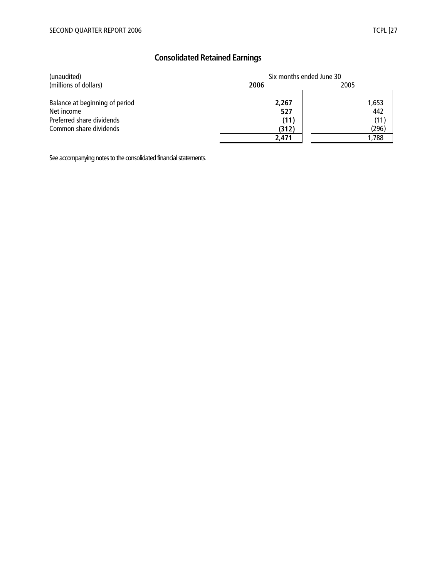# **Consolidated Retained Earnings**

| (unaudited)                    | Six months ended June 30 |       |  |  |
|--------------------------------|--------------------------|-------|--|--|
| (millions of dollars)          | 2006                     | 2005  |  |  |
|                                |                          |       |  |  |
| Balance at beginning of period | 2,267                    | 1,653 |  |  |
| Net income                     | 527                      | 442   |  |  |
| Preferred share dividends      | (11)                     | (11)  |  |  |
| Common share dividends         | (312)                    | (296) |  |  |
|                                | 2,471                    | 1,788 |  |  |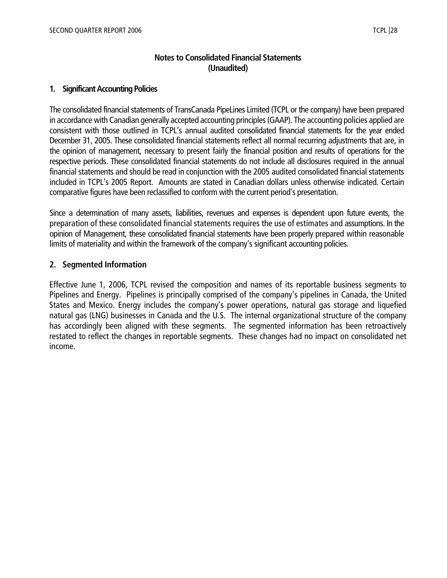## **Notes to Consolidated Financial Statements (Unaudited)**

#### **1. Significant Accounting Policies**

The consolidated financial statements of TransCanada PipeLines Limited (TCPL or the company) have been prepared in accordance with Canadian generally accepted accounting principles (GAAP). The accounting policies applied are consistent with those outlined in TCPL's annual audited consolidated financial statements for the year ended December 31, 2005. These consolidated financial statements reflect all normal recurring adjustments that are, in the opinion of management, necessary to present fairly the financial position and results of operations for the respective periods. These consolidated financial statements do not include all disclosures required in the annual financial statements and should be read in conjunction with the 2005 audited consolidated financial statements included in TCPL's 2005 Report. Amounts are stated in Canadian dollars unless otherwise indicated. Certain comparative figures have been reclassified to conform with the current period's presentation.

Since a determination of many assets, liabilities, revenues and expenses is dependent upon future events, the preparation of these consolidated financial statements requires the use of estimates and assumptions. In the opinion of Management, these consolidated financial statements have been properly prepared within reasonable limits of materiality and within the framework of the company's significant accounting policies.

## **2. Segmented Information**

Effective June 1, 2006, TCPL revised the composition and names of its reportable business segments to Pipelines and Energy. Pipelines is principally comprised of the company's pipelines in Canada, the United States and Mexico. Energy includes the company's power operations, natural gas storage and liquefied natural gas (LNG) businesses in Canada and the U.S. The internal organizational structure of the company has accordingly been aligned with these segments. The segmented information has been retroactively restated to reflect the changes in reportable segments. These changes had no impact on consolidated net income.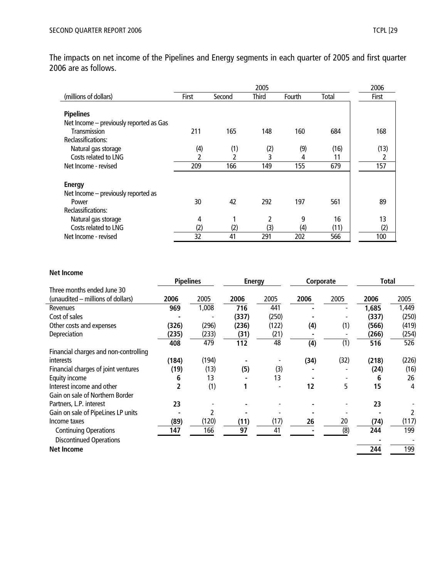The impacts on net income of the Pipelines and Energy segments in each quarter of 2005 and first quarter 2006 are as follows.

|                                         |       | 2006   |              |        |       |              |
|-----------------------------------------|-------|--------|--------------|--------|-------|--------------|
| (millions of dollars)                   | First | Second | <b>Third</b> | Fourth | Total | <b>First</b> |
|                                         |       |        |              |        |       |              |
| <b>Pipelines</b>                        |       |        |              |        |       |              |
| Net Income - previously reported as Gas |       |        |              |        |       |              |
| Transmission                            | 211   | 165    | 148          | 160    | 684   | 168          |
| Reclassifications:                      |       |        |              |        |       |              |
| Natural gas storage                     | (4)   | (1)    | (2)          | (9)    | (16)  | (13)         |
| Costs related to LNG                    |       |        | 3            | 4      | 11    | 2            |
| Net Income - revised                    | 209   | 166    | 149          | 155    | 679   | 157          |
|                                         |       |        |              |        |       |              |
| <b>Energy</b>                           |       |        |              |        |       |              |
| Net Income - previously reported as     |       |        |              |        |       |              |
| Power                                   | 30    | 42     | 292          | 197    | 561   | 89           |
| Reclassifications:                      |       |        |              |        |       |              |
| Natural gas storage                     | 4     |        | 2            | 9      | 16    | 13           |
| Costs related to LNG                    | (2)   | (2)    | (3)          | (4)    | (11)  | (2)          |
| Net Income - revised                    | 32    | 41     | 291          | 202    | 566   | 100          |

| <b>Net Income</b>                     |                  |       |       |               |      |           |       |       |
|---------------------------------------|------------------|-------|-------|---------------|------|-----------|-------|-------|
|                                       | <b>Pipelines</b> |       |       | <b>Energy</b> |      | Corporate | Total |       |
| Three months ended June 30            |                  |       |       |               |      |           |       |       |
| (unaudited – millions of dollars)     | 2006             | 2005  | 2006  | 2005          | 2006 | 2005      | 2006  | 2005  |
| Revenues                              | 969              | 1,008 | 716   | 441           |      |           | 1,685 | 1,449 |
| Cost of sales                         |                  |       | (337) | (250)         |      |           | (337) | (250) |
| Other costs and expenses              | (326)            | (296) | (236) | (122)         | (4)  | (1)       | (566) | (419) |
| Depreciation                          | (235)            | (233) | (31)  | (21)          |      |           | (266) | (254) |
|                                       | 408              | 479   | 112   | 48            | (4)  | (1)       | 516   | 526   |
| Financial charges and non-controlling |                  |       |       |               |      |           |       |       |
| <i>interests</i>                      | (184)            | (194) |       |               | (34) | (32)      | (218) | (226) |
| Financial charges of joint ventures   | (19)             | (13)  | (5)   | (3)           |      |           | (24)  | (16)  |
| Equity income                         | 6                | 13    |       | 13            |      |           | 6     | 26    |
| Interest income and other             | 2                | (1)   |       |               | 12   | 5         | 15    | 4     |
| Gain on sale of Northern Border       |                  |       |       |               |      |           |       |       |
| Partners, L.P. interest               | 23               |       |       |               |      |           | 23    |       |
| Gain on sale of PipeLines LP units    |                  | 2     |       |               |      |           |       |       |
| Income taxes                          | (89)             | (120) | (11)  | (17)          | 26   | 20        | (74)  | (117) |
| <b>Continuing Operations</b>          | 147              | 166   | 97    | 41            |      | (8)       | 244   | 199   |
| <b>Discontinued Operations</b>        |                  |       |       |               |      |           |       |       |
| <b>Net Income</b>                     |                  |       |       |               |      |           | 244   | 199   |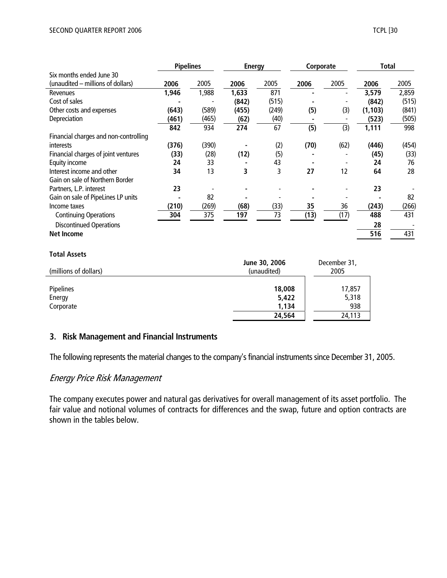|                                       | <b>Pipelines</b> |       | <b>Energy</b> |       | Corporate |      | Total    |       |
|---------------------------------------|------------------|-------|---------------|-------|-----------|------|----------|-------|
| Six months ended June 30              |                  |       |               |       |           |      |          |       |
| (unaudited - millions of dollars)     | 2006             | 2005  | 2006          | 2005  | 2006      | 2005 | 2006     | 2005  |
| Revenues                              | 1,946            | 1,988 | 1,633         | 871   |           |      | 3,579    | 2,859 |
| Cost of sales                         |                  |       | (842)         | (515) |           |      | (842)    | (515) |
| Other costs and expenses              | (643)            | (589) | (455)         | (249) | (5)       | (3)  | (1, 103) | (841) |
| Depreciation                          | (461)            | (465) | (62)          | (40)  |           |      | (523)    | (505) |
|                                       | 842              | 934   | 274           | 67    | (5)       | (3)  | 1,111    | 998   |
| Financial charges and non-controlling |                  |       |               |       |           |      |          |       |
| interests                             | (376)            | (390) |               | (2)   | (70)      | (62) | (446)    | (454) |
| Financial charges of joint ventures   | (33)             | (28)  | (12)          | (5)   |           |      | (45)     | (33)  |
| Equity income                         | 24               | 33    |               | 43    |           |      | 24       | 76    |
| Interest income and other             | 34               | 13    | 3             | 3     | 27        | 12   | 64       | 28    |
| Gain on sale of Northern Border       |                  |       |               |       |           |      |          |       |
| Partners, L.P. interest               | 23               |       |               |       |           |      | 23       |       |
| Gain on sale of PipeLines LP units    |                  | 82    |               |       |           |      |          | 82    |
| Income taxes                          | (210)            | (269) | (68)          | (33)  | 35        | 36   | (243)    | (266) |
| <b>Continuing Operations</b>          | 304              | 375   | 197           | 73    | (13)      | (17) | 488      | 431   |
| <b>Discontinued Operations</b>        |                  |       |               |       |           |      | 28       |       |
| <b>Net Income</b>                     |                  |       |               |       |           |      | 516      | 431   |

#### **Total Assets**

| (millions of dollars) | June 30, 2006<br>(unaudited) | December 31,<br>2005 |
|-----------------------|------------------------------|----------------------|
| Pipelines             | 18,008                       | 17,857               |
| Energy                | 5,422                        | 5,318                |
| Corporate             | 1,134                        | 938                  |
|                       | 24,564                       | 24,113               |

#### **3. Risk Management and Financial Instruments**

The following represents the material changes to the company's financial instruments since December 31, 2005.

## Energy Price Risk Management

The company executes power and natural gas derivatives for overall management of its asset portfolio. The fair value and notional volumes of contracts for differences and the swap, future and option contracts are shown in the tables below.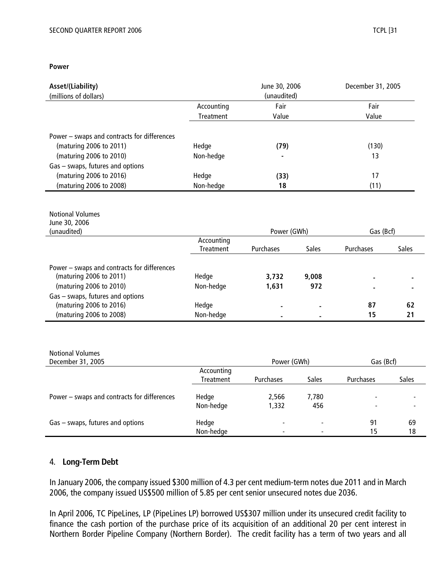| Asset/(Liability)                                                      |            | June 30, 2006 |              | December 31, 2005 |              |
|------------------------------------------------------------------------|------------|---------------|--------------|-------------------|--------------|
| (millions of dollars)                                                  |            | (unaudited)   |              |                   |              |
|                                                                        | Accounting | Fair          |              | Fair              |              |
|                                                                        | Treatment  | Value         |              | Value             |              |
|                                                                        |            |               |              |                   |              |
| Power - swaps and contracts for differences                            |            |               |              |                   |              |
| (maturing 2006 to 2011)                                                | Hedge      | (79)          |              | (130)             |              |
| (maturing 2006 to 2010)                                                | Non-hedge  |               |              | 13                |              |
| Gas - swaps, futures and options                                       |            |               |              |                   |              |
| (maturing 2006 to 2016)                                                | Hedge      | (33)          |              | 17                |              |
| (maturing 2006 to 2008)                                                | Non-hedge  | 18            |              | (11)              |              |
|                                                                        |            |               |              |                   |              |
|                                                                        |            |               |              |                   |              |
| <b>Notional Volumes</b>                                                |            |               |              |                   |              |
| June 30, 2006                                                          |            |               |              |                   |              |
| (unaudited)                                                            |            | Power (GWh)   |              | Gas (Bcf)         |              |
|                                                                        | Accounting |               |              |                   |              |
|                                                                        | Treatment  | Purchases     | <b>Sales</b> | Purchases         | <b>Sales</b> |
|                                                                        |            |               |              |                   |              |
| Power - swaps and contracts for differences<br>(maturing 2006 to 2011) | Hedge      | 3,732         | 9,008        |                   |              |
| (maturing 2006 to 2010)                                                | Non-hedge  | 1,631         | 972          |                   |              |
| Gas - swaps, futures and options                                       |            |               |              |                   |              |
| (maturing 2006 to 2016)                                                | Hedge      |               |              | 87                | 62           |
| (maturing 2006 to 2008)                                                | Non-hedge  |               |              | 15                | 21           |
|                                                                        |            |               |              |                   |              |
|                                                                        |            |               |              |                   |              |
|                                                                        |            |               |              |                   |              |
| <b>Notional Volumes</b>                                                |            |               |              |                   |              |
| December 31, 2005                                                      |            | Power (GWh)   |              | Gas (Bcf)         |              |
|                                                                        | Accounting |               |              |                   |              |
|                                                                        | Treatment  | Purchases     | Sales        | Purchases         | Sales        |
|                                                                        |            |               |              |                   |              |
| Power - swaps and contracts for differences                            | Hedge      | 2,566         | 7,780        |                   |              |
|                                                                        | Non-hedge  | 1,332         | 456          |                   |              |
|                                                                        |            |               |              |                   |              |
| Gas - swaps, futures and options                                       | Hedge      |               |              | 91                | 69           |
|                                                                        | Non-hedge  |               |              | 15                | 18           |
|                                                                        |            |               |              |                   |              |

#### 4. **Long-Term Debt**

In January 2006, the company issued \$300 million of 4.3 per cent medium-term notes due 2011 and in March 2006, the company issued US\$500 million of 5.85 per cent senior unsecured notes due 2036.

In April 2006, TC PipeLines, LP (PipeLines LP) borrowed US\$307 million under its unsecured credit facility to finance the cash portion of the purchase price of its acquisition of an additional 20 per cent interest in Northern Border Pipeline Company (Northern Border). The credit facility has a term of two years and all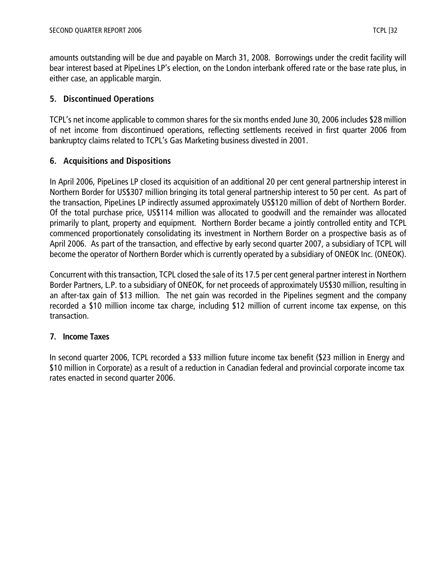amounts outstanding will be due and payable on March 31, 2008. Borrowings under the credit facility will bear interest based at PipeLines LP's election, on the London interbank offered rate or the base rate plus, in either case, an applicable margin.

## **5. Discontinued Operations**

TCPL's net income applicable to common shares for the six months ended June 30, 2006 includes \$28 million of net income from discontinued operations, reflecting settlements received in first quarter 2006 from bankruptcy claims related to TCPL's Gas Marketing business divested in 2001.

## **6. Acquisitions and Dispositions**

In April 2006, PipeLines LP closed its acquisition of an additional 20 per cent general partnership interest in Northern Border for US\$307 million bringing its total general partnership interest to 50 per cent. As part of the transaction, PipeLines LP indirectly assumed approximately US\$120 million of debt of Northern Border. Of the total purchase price, US\$114 million was allocated to goodwill and the remainder was allocated primarily to plant, property and equipment. Northern Border became a jointly controlled entity and TCPL commenced proportionately consolidating its investment in Northern Border on a prospective basis as of April 2006. As part of the transaction, and effective by early second quarter 2007, a subsidiary of TCPL will become the operator of Northern Border which is currently operated by a subsidiary of ONEOK Inc. (ONEOK).

Concurrent with this transaction, TCPL closed the sale of its 17.5 per cent general partner interest in Northern Border Partners, L.P. to a subsidiary of ONEOK, for net proceeds of approximately US\$30 million, resulting in an after-tax gain of \$13 million. The net gain was recorded in the Pipelines segment and the company recorded a \$10 million income tax charge, including \$12 million of current income tax expense, on this transaction.

## **7. Income Taxes**

In second quarter 2006, TCPL recorded a \$33 million future income tax benefit (\$23 million in Energy and \$10 million in Corporate) as a result of a reduction in Canadian federal and provincial corporate income tax rates enacted in second quarter 2006.